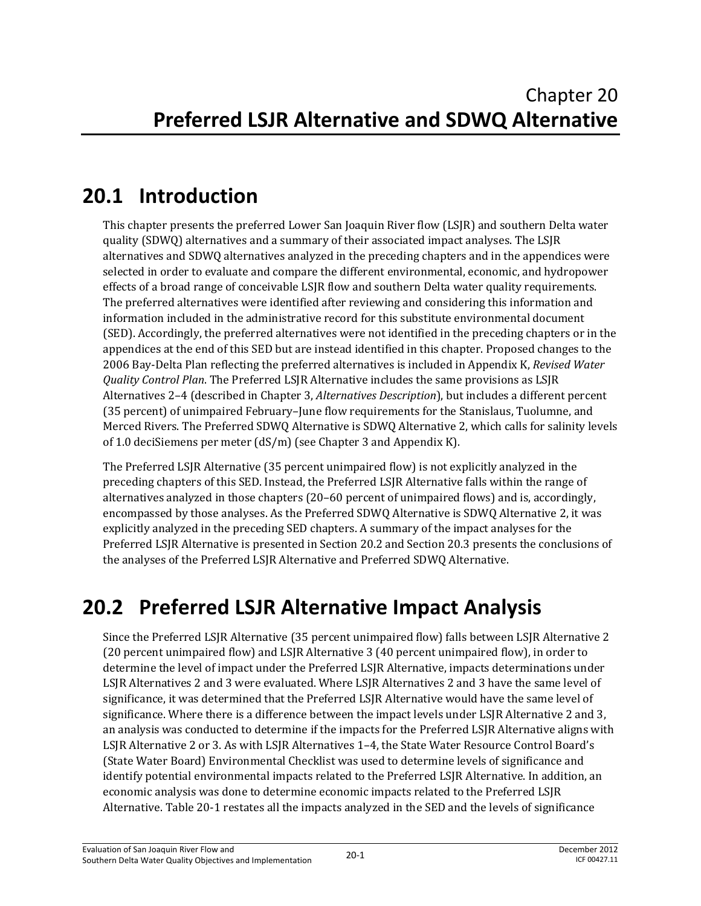# **20.1 Introduction**

This chapter presents the preferred Lower San Joaquin River flow (LSJR) and southern Delta water quality (SDWQ) alternatives and a summary of their associated impact analyses. The LSJR alternatives and SDWQ alternatives analyzed in the preceding chapters and in the appendices were selected in order to evaluate and compare the different environmental, economic, and hydropower effects of a broad range of conceivable LSJR flow and southern Delta water quality requirements. The preferred alternatives were identified after reviewing and considering this information and information included in the administrative record for this substitute environmental document (SED). Accordingly, the preferred alternatives were not identified in the preceding chapters or in the appendices at the end of this SED but are instead identified in this chapter. Proposed changes to the 2006 Bay-Delta Plan reflecting the preferred alternatives is included in Appendix K, *Revised Water Quality Control Plan*. The Preferred LSJR Alternative includes the same provisions as LSJR Alternatives 2–4 (described in Chapter 3, *Alternatives Description*), but includes a different percent (35 percent) of unimpaired February–June flow requirements for the Stanislaus, Tuolumne, and Merced Rivers. The Preferred SDWQ Alternative is SDWQ Alternative 2, which calls for salinity levels of 1.0 deciSiemens per meter (dS/m) (see Chapter 3 and Appendix K).

The Preferred LSJR Alternative (35 percent unimpaired flow) is not explicitly analyzed in the preceding chapters of this SED. Instead, the Preferred LSJR Alternative falls within the range of alternatives analyzed in those chapters (20–60 percent of unimpaired flows) and is, accordingly, encompassed by those analyses. As the Preferred SDWQ Alternative is SDWQ Alternative 2, it was explicitly analyzed in the preceding SED chapters. A summary of the impact analyses for the Preferred LSJR Alternative is presented in Section 20.2 and Section 20.3 presents the conclusions of the analyses of the Preferred LSJR Alternative and Preferred SDWQ Alternative.

# **20.2 Preferred LSJR Alternative Impact Analysis**

Since the Preferred LSJR Alternative (35 percent unimpaired flow) falls between LSJR Alternative 2 (20 percent unimpaired flow) and LSJR Alternative 3 (40 percent unimpaired flow), in order to determine the level of impact under the Preferred LSJR Alternative, impacts determinations under LSJR Alternatives 2 and 3 were evaluated. Where LSJR Alternatives 2 and 3 have the same level of significance, it was determined that the Preferred LSJR Alternative would have the same level of significance. Where there is a difference between the impact levels under LSJR Alternative 2 and 3, an analysis was conducted to determine if the impacts for the Preferred LSJR Alternative aligns with LSJR Alternative 2 or 3. As with LSJR Alternatives 1–4, the State Water Resource Control Board's (State Water Board) Environmental Checklist was used to determine levels of significance and identify potential environmental impacts related to the Preferred LSJR Alternative. In addition, an economic analysis was done to determine economic impacts related to the Preferred LSJR Alternative. Table 20-1 restates all the impacts analyzed in the SED and the levels of significance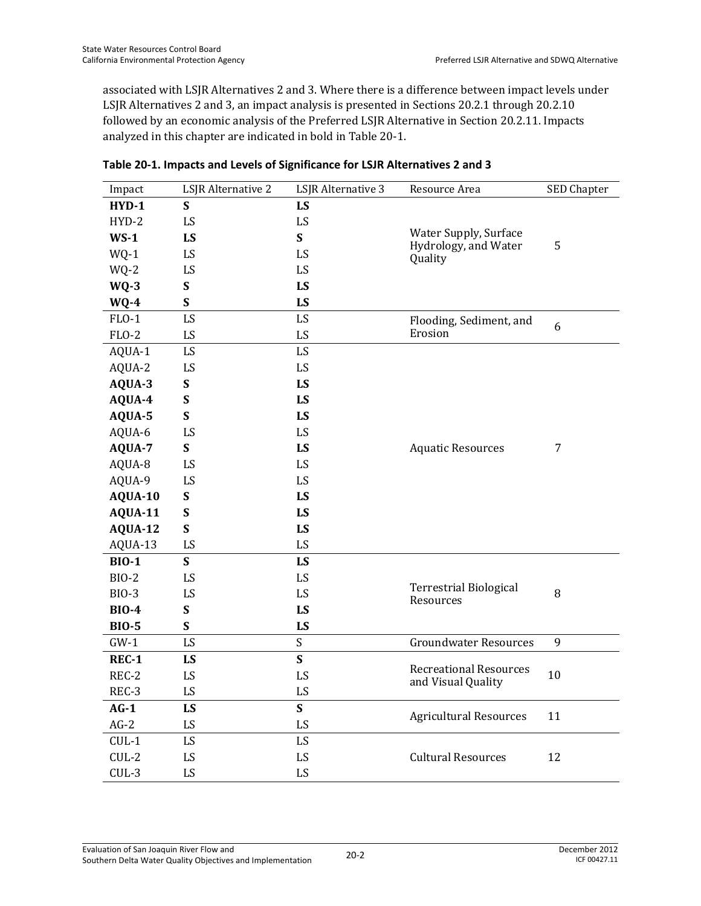associated with LSJR Alternatives 2 and 3. Where there is a difference between impact levels under LSJR Alternatives 2 and 3, an impact analysis is presented in Sections 20.2.1 through 20.2.10 followed by an economic analysis of the Preferred LSJR Alternative in Section 20.2.11. Impacts analyzed in this chapter are indicated in bold in Table 20-1.

| Impact       | LSJR Alternative 2   | LSJR Alternative 3 | Resource Area                                       | SED Chapter |  |
|--------------|----------------------|--------------------|-----------------------------------------------------|-------------|--|
| HYD-1        | S                    | LS                 |                                                     |             |  |
| $HYD-2$      | LS                   | LS                 |                                                     |             |  |
| $WS-1$       | LS                   | S                  | Water Supply, Surface                               | 5           |  |
| $WQ-1$       | LS                   | LS                 | Hydrology, and Water<br>Quality                     |             |  |
| WQ-2         | LS                   | LS                 |                                                     |             |  |
| $WQ-3$       | $\mathbf S$          | LS                 |                                                     |             |  |
| $WQ-4$       | S                    | LS                 |                                                     |             |  |
| $FLO-1$      | LS                   | LS                 | Flooding, Sediment, and                             | 6           |  |
| $FLO-2$      | LS                   | LS                 | Erosion                                             |             |  |
| AQUA-1       | LS                   | LS                 |                                                     |             |  |
| AQUA-2       | LS                   | LS                 |                                                     |             |  |
| AQUA-3       | S                    | LS                 |                                                     |             |  |
| AQUA-4       | S                    | LS                 |                                                     |             |  |
| AQUA-5       | S                    | LS                 |                                                     |             |  |
| AQUA-6       | LS                   | LS                 |                                                     |             |  |
| AQUA-7       | $\mathbf S$          | LS                 | <b>Aquatic Resources</b>                            | 7           |  |
| AQUA-8       | LS<br>LS<br>LS<br>LS |                    |                                                     |             |  |
| AQUA-9       |                      |                    |                                                     |             |  |
| AQUA-10      | S                    | LS                 |                                                     |             |  |
| AQUA-11      | $\mathbf S$          | LS                 |                                                     |             |  |
| AQUA-12      | $\mathbf S$          | LS                 |                                                     |             |  |
| AQUA-13      | LS                   | LS                 |                                                     |             |  |
| <b>BIO-1</b> | $\mathbf S$          | LS                 |                                                     |             |  |
| <b>BIO-2</b> | LS                   | LS                 |                                                     |             |  |
| <b>BIO-3</b> | LS                   | LS                 | <b>Terrestrial Biological</b><br>Resources          | 8           |  |
| <b>BIO-4</b> | $\mathbf S$          | LS                 |                                                     |             |  |
| <b>BIO-5</b> | $\mathbf S$          | LS                 |                                                     |             |  |
| $GW-1$       | LS                   | $\boldsymbol{S}$   | <b>Groundwater Resources</b>                        | 9           |  |
| <b>REC-1</b> | LS                   | $\mathbf S$        |                                                     |             |  |
| REC-2        | LS                   | LS                 | <b>Recreational Resources</b><br>and Visual Quality | 10          |  |
| REC-3        | LS                   | LS                 |                                                     |             |  |
| $AG-1$       | LS                   | $\mathbf S$        |                                                     |             |  |
| $AG-2$       | LS                   | LS                 | <b>Agricultural Resources</b>                       | 11          |  |
| $CUL-1$      | LS                   | LS                 |                                                     |             |  |
| $CUL-2$      | LS                   | LS                 | <b>Cultural Resources</b>                           | 12          |  |
| $CUL-3$      | LS                   | LS                 |                                                     |             |  |

#### **Table 20-1. Impacts and Levels of Significance for LSJR Alternatives 2 and 3**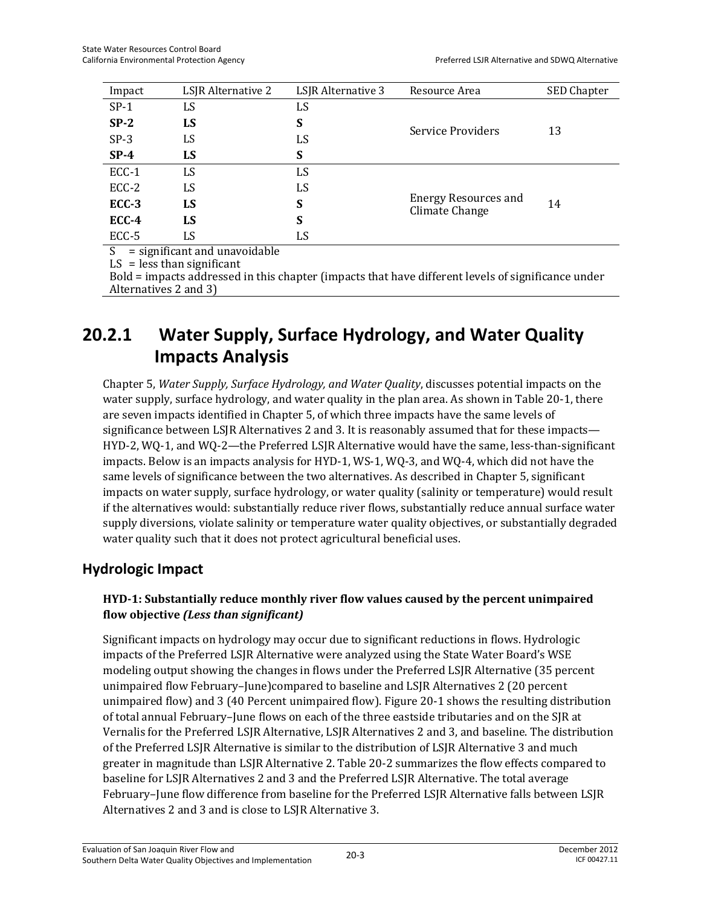| Impact  | LSJR Alternative 2 | LSJR Alternative 3 | Resource Area                                 | SED Chapter |  |
|---------|--------------------|--------------------|-----------------------------------------------|-------------|--|
| $SP-1$  | LS                 | LS                 |                                               |             |  |
| $SP-2$  | LS                 | S                  | Service Providers                             |             |  |
| $SP-3$  | LS<br>LS           |                    |                                               | 13          |  |
| $SP-4$  | LS                 | S                  |                                               |             |  |
| ECC-1   | LS                 | LS                 |                                               |             |  |
| ECC-2   | LS                 | LS                 |                                               |             |  |
| $ECC-3$ | LS                 | S                  | <b>Energy Resources and</b><br>Climate Change | 14          |  |
| $ECC-4$ | LS                 | S                  |                                               |             |  |
| ECC-5   | LS                 | LS                 |                                               |             |  |

 $=$  significant and unavoidable

 $LS = less than significant$ 

Bold = impacts addressed in this chapter (impacts that have different levels of significance under Alternatives 2 and 3)

## **20.2.1 Water Supply, Surface Hydrology, and Water Quality Impacts Analysis**

Chapter 5, *Water Supply, Surface Hydrology, and Water Quality*, discusses potential impacts on the water supply, surface hydrology, and water quality in the plan area. As shown in Table 20-1, there are seven impacts identified in Chapter 5, of which three impacts have the same levels of significance between LSJR Alternatives 2 and 3. It is reasonably assumed that for these impacts— HYD-2, WQ-1, and WQ-2—the Preferred LSJR Alternative would have the same, less-than-significant impacts. Below is an impacts analysis for HYD-1, WS-1, WQ-3, and WQ-4, which did not have the same levels of significance between the two alternatives. As described in Chapter 5, significant impacts on water supply, surface hydrology, or water quality (salinity or temperature) would result if the alternatives would: substantially reduce river flows, substantially reduce annual surface water supply diversions, violate salinity or temperature water quality objectives, or substantially degraded water quality such that it does not protect agricultural beneficial uses.

### **Hydrologic Impact**

### **HYD-1: Substantially reduce monthly river flow values caused by the percent unimpaired flow objective** *(Less than significant)*

Significant impacts on hydrology may occur due to significant reductions in flows. Hydrologic impacts of the Preferred LSJR Alternative were analyzed using the State Water Board's WSE modeling output showing the changes in flows under the Preferred LSJR Alternative (35 percent unimpaired flow February–June)compared to baseline and LSJR Alternatives 2 (20 percent unimpaired flow) and 3 (40 Percent unimpaired flow). Figure 20-1 shows the resulting distribution of total annual February–June flows on each of the three eastside tributaries and on the SJR at Vernalis for the Preferred LSJR Alternative, LSJR Alternatives 2 and 3, and baseline. The distribution of the Preferred LSJR Alternative is similar to the distribution of LSJR Alternative 3 and much greater in magnitude than LSJR Alternative 2. Table 20-2 summarizes the flow effects compared to baseline for LSJR Alternatives 2 and 3 and the Preferred LSJR Alternative. The total average February–June flow difference from baseline for the Preferred LSJR Alternative falls between LSJR Alternatives 2 and 3 and is close to LSJR Alternative 3.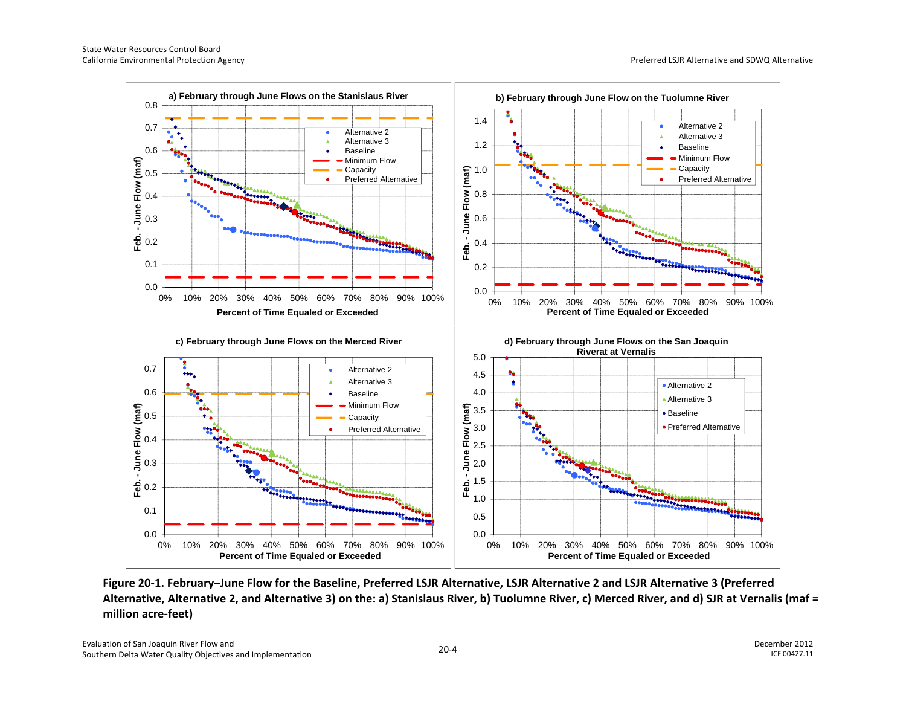

**Figure 20-1. February–June Flow for the Baseline, Preferred LSJR Alternative, LSJR Alternative 2 and LSJR Alternative 3 (Preferred Alternative, Alternative 2, and Alternative 3) on the: a) Stanislaus River, b) Tuolumne River, c) Merced River, and d) SJR at Vernalis (maf = million acre-feet)**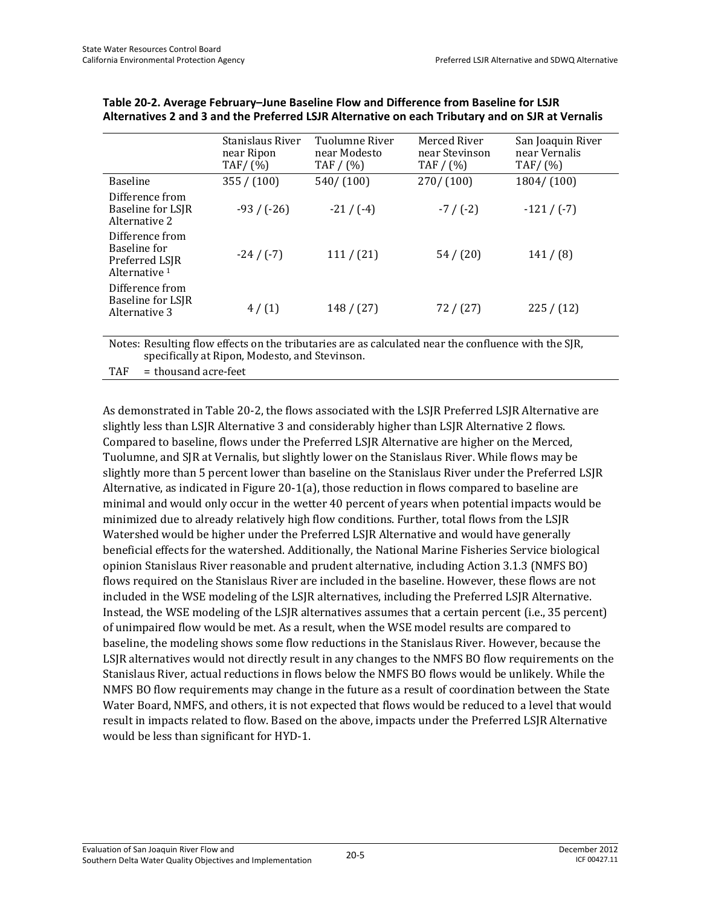|                                                                    | Stanislaus River<br>near Ripon<br>TAF/ $(\%)$ | Tuolumne River<br>near Modesto<br>TAF $/$ (%) | Merced River<br>near Stevinson<br>TAF $/$ (%) | San Joaquin River<br>near Vernalis<br>TAF/ $(% )$ |
|--------------------------------------------------------------------|-----------------------------------------------|-----------------------------------------------|-----------------------------------------------|---------------------------------------------------|
| <b>Baseline</b>                                                    | 355 / (100)                                   | 540/ (100)                                    | 270/(100)                                     | 1804 / (100)                                      |
| Difference from<br><b>Baseline for LSIR</b><br>Alternative 2       | $-93/(-26)$                                   | $-21/(-4)$                                    | $-7/(-2)$                                     | $-121/(-7)$                                       |
| Difference from<br>Baseline for<br>Preferred LSIR<br>Alternative 1 | $-24/(-7)$                                    | 111 / (21)                                    | 54/(20)                                       | 141/ (8)                                          |
| Difference from<br><b>Baseline for LSIR</b><br>Alternative 3       | 4/(1)                                         | 148 / (27)                                    | 72 / (27)                                     | 225 / (12)                                        |

| Table 20-2. Average February-June Baseline Flow and Difference from Baseline for LSJR            |
|--------------------------------------------------------------------------------------------------|
| Alternatives 2 and 3 and the Preferred LSJR Alternative on each Tributary and on SJR at Vernalis |

Notes: Resulting flow effects on the tributaries are as calculated near the confluence with the SJR, specifically at Ripon, Modesto, and Stevinson.

TAF = thousand acre-feet

As demonstrated in Table 20-2, the flows associated with the LSJR Preferred LSJR Alternative are slightly less than LSJR Alternative 3 and considerably higher than LSJR Alternative 2 flows. Compared to baseline, flows under the Preferred LSJR Alternative are higher on the Merced, Tuolumne, and SJR at Vernalis, but slightly lower on the Stanislaus River. While flows may be slightly more than 5 percent lower than baseline on the Stanislaus River under the Preferred LSJR Alternative, as indicated in Figure 20-1(a), those reduction in flows compared to baseline are minimal and would only occur in the wetter 40 percent of years when potential impacts would be minimized due to already relatively high flow conditions. Further, total flows from the LSJR Watershed would be higher under the Preferred LSJR Alternative and would have generally beneficial effects for the watershed. Additionally, the National Marine Fisheries Service biological opinion Stanislaus River reasonable and prudent alternative, including Action 3.1.3 (NMFS BO) flows required on the Stanislaus River are included in the baseline. However, these flows are not included in the WSE modeling of the LSJR alternatives, including the Preferred LSJR Alternative. Instead, the WSE modeling of the LSJR alternatives assumes that a certain percent (i.e., 35 percent) of unimpaired flow would be met. As a result, when the WSE model results are compared to baseline, the modeling shows some flow reductions in the Stanislaus River. However, because the LSJR alternatives would not directly result in any changes to the NMFS BO flow requirements on the Stanislaus River, actual reductions in flows below the NMFS BO flows would be unlikely. While the NMFS BO flow requirements may change in the future as a result of coordination between the State Water Board, NMFS, and others, it is not expected that flows would be reduced to a level that would result in impacts related to flow. Based on the above, impacts under the Preferred LSJR Alternative would be less than significant for HYD-1.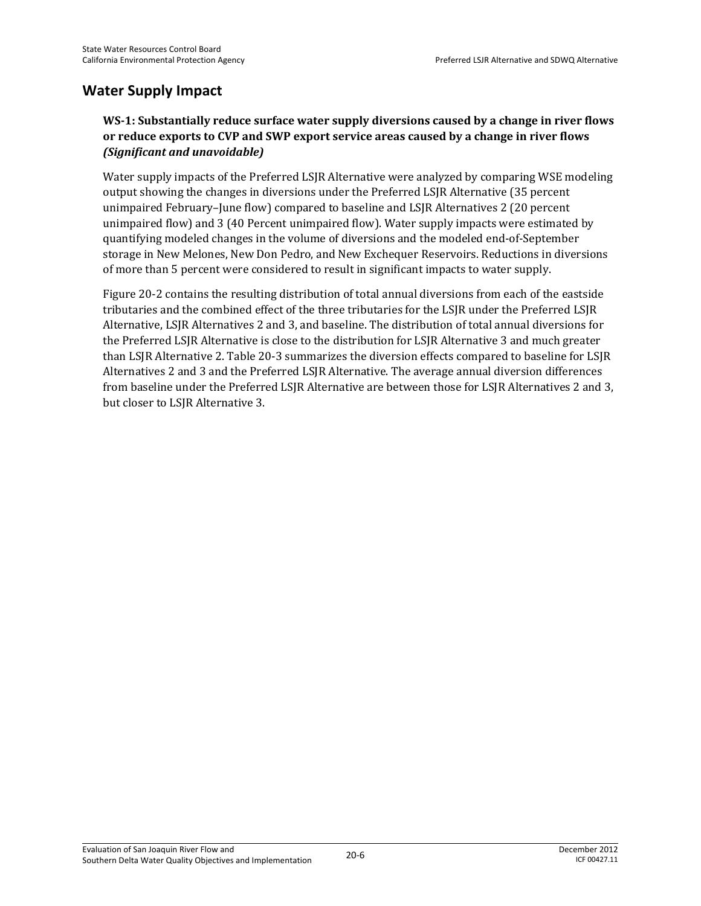### **Water Supply Impact**

### **WS-1: Substantially reduce surface water supply diversions caused by a change in river flows or reduce exports to CVP and SWP export service areas caused by a change in river flows**  *(Significant and unavoidable)*

Water supply impacts of the Preferred LSJR Alternative were analyzed by comparing WSE modeling output showing the changes in diversions under the Preferred LSJR Alternative (35 percent unimpaired February–June flow) compared to baseline and LSJR Alternatives 2 (20 percent unimpaired flow) and 3 (40 Percent unimpaired flow). Water supply impacts were estimated by quantifying modeled changes in the volume of diversions and the modeled end-of-September storage in New Melones, New Don Pedro, and New Exchequer Reservoirs. Reductions in diversions of more than 5 percent were considered to result in significant impacts to water supply.

Figure 20-2 contains the resulting distribution of total annual diversions from each of the eastside tributaries and the combined effect of the three tributaries for the LSJR under the Preferred LSJR Alternative, LSJR Alternatives 2 and 3, and baseline. The distribution of total annual diversions for the Preferred LSJR Alternative is close to the distribution for LSJR Alternative 3 and much greater than LSJR Alternative 2. Table 20-3 summarizes the diversion effects compared to baseline for LSJR Alternatives 2 and 3 and the Preferred LSJR Alternative. The average annual diversion differences from baseline under the Preferred LSJR Alternative are between those for LSJR Alternatives 2 and 3, but closer to LSJR Alternative 3.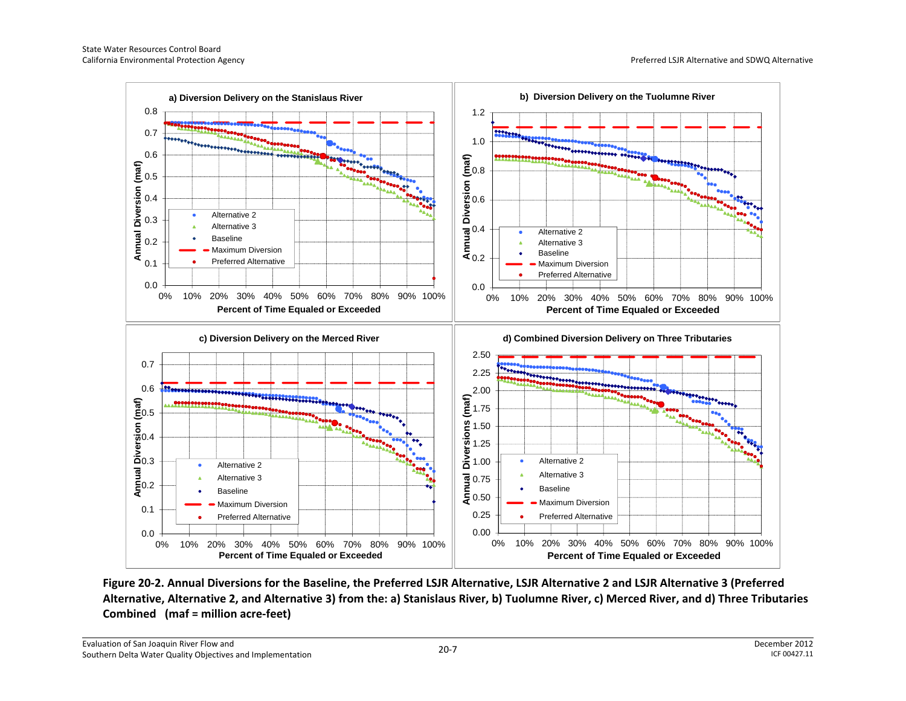California Environmental Protection Agency **Protection Agency** Preferred LSJR Alternative and SDWQ Alternative



**Figure 20-2. Annual Diversions for the Baseline, the Preferred LSJR Alternative, LSJR Alternative 2 and LSJR Alternative 3 (Preferred Alternative, Alternative 2, and Alternative 3) from the: a) Stanislaus River, b) Tuolumne River, c) Merced River, and d) Three Tributaries Combined (maf = million acre-feet)**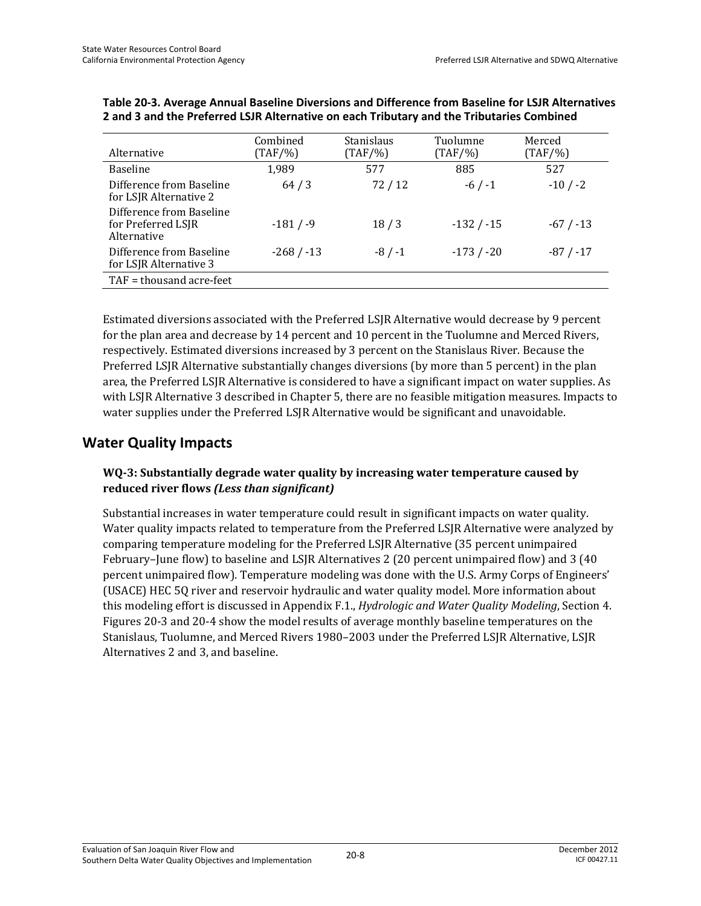| Alternative                                                   | Combined<br>$(TAF/\%)$ | Stanislaus<br>$(TAF/\%)$ | Tuolumne<br>$(TAF/\%)$ | Merced<br>$(TAF/\%)$ |
|---------------------------------------------------------------|------------------------|--------------------------|------------------------|----------------------|
| <b>Baseline</b>                                               | 1,989                  | 577                      | 885                    | 527                  |
| Difference from Baseline<br>for LSJR Alternative 2            | 64/3                   | 72/12                    | $-6/ -1$               | $-10/ -2$            |
| Difference from Baseline<br>for Preferred LSIR<br>Alternative | $-181/9$               | 18/3                     | $-132/ -15$            | $-67/ -13$           |
| Difference from Baseline<br>for LSJR Alternative 3            | $-268/ -13$            | $-8/ -1$                 | $-173/ -20$            | $-87/ -17$           |
| $TAF =$ thousand acre-feet                                    |                        |                          |                        |                      |

| Table 20-3. Average Annual Baseline Diversions and Difference from Baseline for LSJR Alternatives |
|---------------------------------------------------------------------------------------------------|
| 2 and 3 and the Preferred LSJR Alternative on each Tributary and the Tributaries Combined         |

Estimated diversions associated with the Preferred LSJR Alternative would decrease by 9 percent for the plan area and decrease by 14 percent and 10 percent in the Tuolumne and Merced Rivers, respectively. Estimated diversions increased by 3 percent on the Stanislaus River. Because the Preferred LSJR Alternative substantially changes diversions (by more than 5 percent) in the plan area, the Preferred LSJR Alternative is considered to have a significant impact on water supplies. As with LSJR Alternative 3 described in Chapter 5, there are no feasible mitigation measures. Impacts to water supplies under the Preferred LSJR Alternative would be significant and unavoidable.

### **Water Quality Impacts**

### **WQ-3: Substantially degrade water quality by increasing water temperature caused by reduced river flows** *(Less than significant)*

Substantial increases in water temperature could result in significant impacts on water quality. Water quality impacts related to temperature from the Preferred LSJR Alternative were analyzed by comparing temperature modeling for the Preferred LSJR Alternative (35 percent unimpaired February–June flow) to baseline and LSJR Alternatives 2 (20 percent unimpaired flow) and 3 (40 percent unimpaired flow). Temperature modeling was done with the U.S. Army Corps of Engineers' (USACE) HEC 5Q river and reservoir hydraulic and water quality model. More information about this modeling effort is discussed in Appendix F.1., *Hydrologic and Water Quality Modeling*, Section 4. Figures 20-3 and 20-4 show the model results of average monthly baseline temperatures on the Stanislaus, Tuolumne, and Merced Rivers 1980–2003 under the Preferred LSJR Alternative, LSJR Alternatives 2 and 3, and baseline.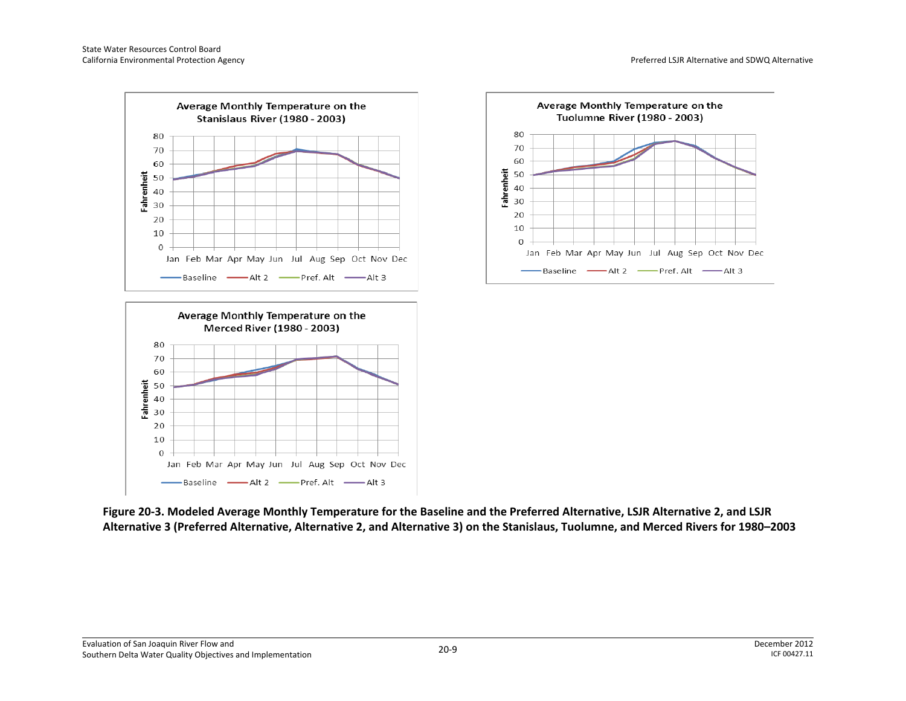





**Figure 20-3. Modeled Average Monthly Temperature for the Baseline and the Preferred Alternative, LSJR Alternative 2, and LSJR Alternative 3 (Preferred Alternative, Alternative 2, and Alternative 3) on the Stanislaus, Tuolumne, and Merced Rivers for 1980–2003**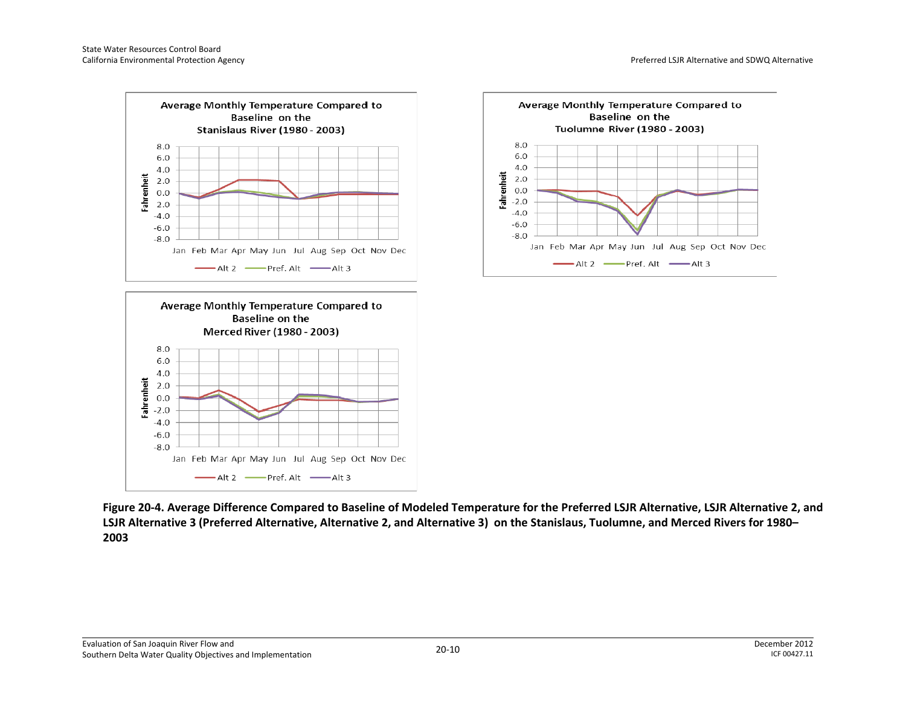





**Figure 20-4. Average Difference Compared to Baseline of Modeled Temperature for the Preferred LSJR Alternative, LSJR Alternative 2, and LSJR Alternative 3 (Preferred Alternative, Alternative 2, and Alternative 3) on the Stanislaus, Tuolumne, and Merced Rivers for 1980– 2003**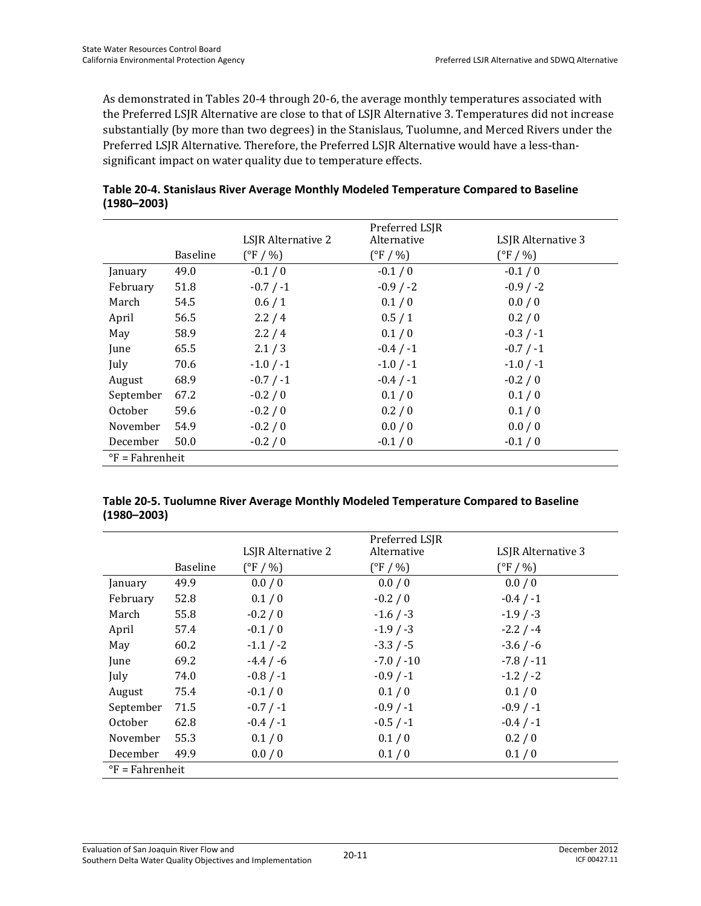As demonstrated in Tables 20-4 through 20-6, the average monthly temperatures associated with the Preferred LSJR Alternative are close to that of LSJR Alternative 3. Temperatures did not increase substantially (by more than two degrees) in the Stanislaus, Tuolumne, and Merced Rivers under the Preferred LSJR Alternative. Therefore, the Preferred LSJR Alternative would have a less-thansignificant impact on water quality due to temperature effects.

|                             |                 |                    | Preferred LSJR     |                    |
|-----------------------------|-----------------|--------------------|--------------------|--------------------|
|                             |                 | LSJR Alternative 2 | Alternative        | LSJR Alternative 3 |
|                             | <b>Baseline</b> | $(^{\circ}F / \%)$ | $(^{\circ}F / \%)$ | $(^{\circ}F / 96)$ |
| January                     | 49.0            | $-0.1/0$           | $-0.1/0$           | $-0.1/0$           |
| February                    | 51.8            | $-0.7 / -1$        | $-0.9 / -2$        | $-0.9/ -2$         |
| March                       | 54.5            | 0.6/1              | 0.1/0              | 0.0 / 0            |
| April                       | 56.5            | 2.2/4              | 0.5/1              | 0.2 / 0            |
| May                         | 58.9            | 2.2/4              | 0.1/0              | $-0.3 / -1$        |
| June                        | 65.5            | 2.1 / 3            | $-0.4 / -1$        | $-0.7 / -1$        |
| July                        | 70.6            | $-1.0 / -1$        | $-1.0 / -1$        | $-1.0 / -1$        |
| August                      | 68.9            | $-0.7 / -1$        | $-0.4 / -1$        | $-0.2/0$           |
| September                   | 67.2            | $-0.2/0$           | 0.1/0              | 0.1 / 0            |
| <b>October</b>              | 59.6            | $-0.2/0$           | 0.2 / 0            | 0.1 / 0            |
| November                    | 54.9            | $-0.2/0$           | 0.0 / 0            | 0.0 / 0            |
| December                    | 50.0            | $-0.2/0$           | $-0.1/0$           | $-0.1/0$           |
| $\mathrm{P}$ F = Fahrenheit |                 |                    |                    |                    |

**Table 20-4. Stanislaus River Average Monthly Modeled Temperature Compared to Baseline (1980–2003)** 

| Table 20-5. Tuolumne River Average Monthly Modeled Temperature Compared to Baseline |  |
|-------------------------------------------------------------------------------------|--|
| (1980–2003)                                                                         |  |

|                             |                 | LSJR Alternative 2 | Preferred LSJR<br>Alternative | LSJR Alternative 3 |
|-----------------------------|-----------------|--------------------|-------------------------------|--------------------|
|                             | <b>Baseline</b> | $(^{\circ}F / \%)$ | $(^{\circ}F / 96)$            | $(^{\circ}F / 96)$ |
| January                     | 49.9            | 0.0/0              | 0.0 / 0                       | 0.0 / 0            |
| February                    | 52.8            | 0.1/0              | $-0.2/0$                      | $-0.4 / -1$        |
| March                       | 55.8            | $-0.2/0$           | $-1.6 / -3$                   | $-1.9/ -3$         |
| April                       | 57.4            | $-0.1/0$           | $-1.9/ -3$                    | $-2.2 / -4$        |
| May                         | 60.2            | $-1.1 / -2$        | $-3.3 / -5$                   | $-3.6/ -6$         |
| June                        | 69.2            | $-4.4 / -6$        | $-7.0 / -10$                  | $-7.8 / -11$       |
| July                        | 74.0            | $-0.8 / -1$        | $-0.9/ -1$                    | $-1.2 / -2$        |
| August                      | 75.4            | $-0.1/0$           | 0.1 / 0                       | 0.1 / 0            |
| September                   | 71.5            | $-0.7 / -1$        | $-0.9/ -1$                    | $-0.9/ -1$         |
| October                     | 62.8            | $-0.4 / -1$        | $-0.5 / -1$                   | $-0.4 / -1$        |
| November                    | 55.3            | 0.1 / 0            | 0.1/0                         | 0.2/0              |
| December                    | 49.9            | 0.0/0              | 0.1 / 0                       | 0.1/0              |
| $\mathrm{P}$ F = Fahrenheit |                 |                    |                               |                    |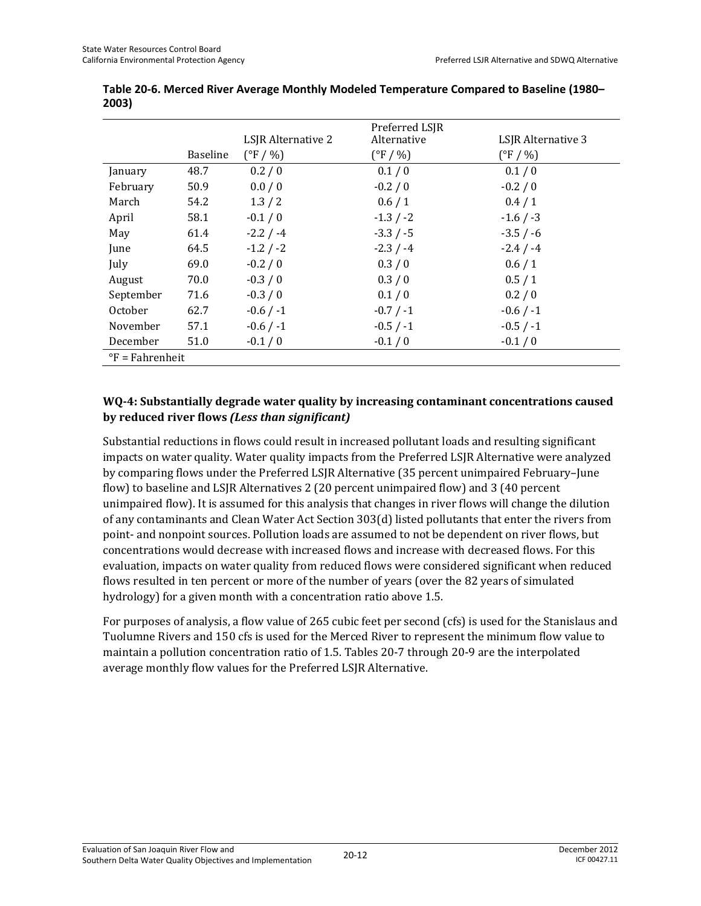|                             |          | LSJR Alternative 2 | Preferred LSJR<br>Alternative | LSJR Alternative 3 |
|-----------------------------|----------|--------------------|-------------------------------|--------------------|
|                             | Baseline | $(^{\circ}F / 96)$ | $(^{\circ}F / \%)$            | $(^{\circ}F / \%)$ |
| January                     | 48.7     | 0.2 / 0            | 0.1/0                         | 0.1/0              |
| February                    | 50.9     | 0.0 / 0            | $-0.2/0$                      | $-0.2/0$           |
| March                       | 54.2     | 1.3/2              | 0.6/1                         | 0.4/1              |
| April                       | 58.1     | $-0.1/0$           | $-1.3 / -2$                   | $-1.6 / -3$        |
| May                         | 61.4     | $-2.2 / -4$        | $-3.3 / -5$                   | $-3.5 / -6$        |
| June                        | 64.5     | $-1.2 / -2$        | $-2.3 / -4$                   | $-2.4 / -4$        |
| July                        | 69.0     | $-0.2/0$           | 0.3/0                         | 0.6/1              |
| August                      | 70.0     | $-0.3/0$           | 0.3/0                         | 0.5/1              |
| September                   | 71.6     | $-0.3/0$           | 0.1/0                         | 0.2 / 0            |
| October                     | 62.7     | $-0.6 / -1$        | $-0.7 / -1$                   | $-0.6 / -1$        |
| November                    | 57.1     | $-0.6 / -1$        | $-0.5 / -1$                   | $-0.5 / -1$        |
| December                    | 51.0     | $-0.1/0$           | $-0.1/0$                      | $-0.1/0$           |
| $\mathrm{P}$ F = Fahrenheit |          |                    |                               |                    |

**Table 20-6. Merced River Average Monthly Modeled Temperature Compared to Baseline (1980– 2003)** 

### **WQ-4: Substantially degrade water quality by increasing contaminant concentrations caused by reduced river flows** *(Less than significant)*

Substantial reductions in flows could result in increased pollutant loads and resulting significant impacts on water quality. Water quality impacts from the Preferred LSJR Alternative were analyzed by comparing flows under the Preferred LSJR Alternative (35 percent unimpaired February–June flow) to baseline and LSJR Alternatives 2 (20 percent unimpaired flow) and 3 (40 percent unimpaired flow). It is assumed for this analysis that changes in river flows will change the dilution of any contaminants and Clean Water Act Section 303(d) listed pollutants that enter the rivers from point- and nonpoint sources. Pollution loads are assumed to not be dependent on river flows, but concentrations would decrease with increased flows and increase with decreased flows. For this evaluation, impacts on water quality from reduced flows were considered significant when reduced flows resulted in ten percent or more of the number of years (over the 82 years of simulated hydrology) for a given month with a concentration ratio above 1.5.

For purposes of analysis, a flow value of 265 cubic feet per second (cfs) is used for the Stanislaus and Tuolumne Rivers and 150 cfs is used for the Merced River to represent the minimum flow value to maintain a pollution concentration ratio of 1.5. Tables 20-7 through 20-9 are the interpolated average monthly flow values for the Preferred LSJR Alternative.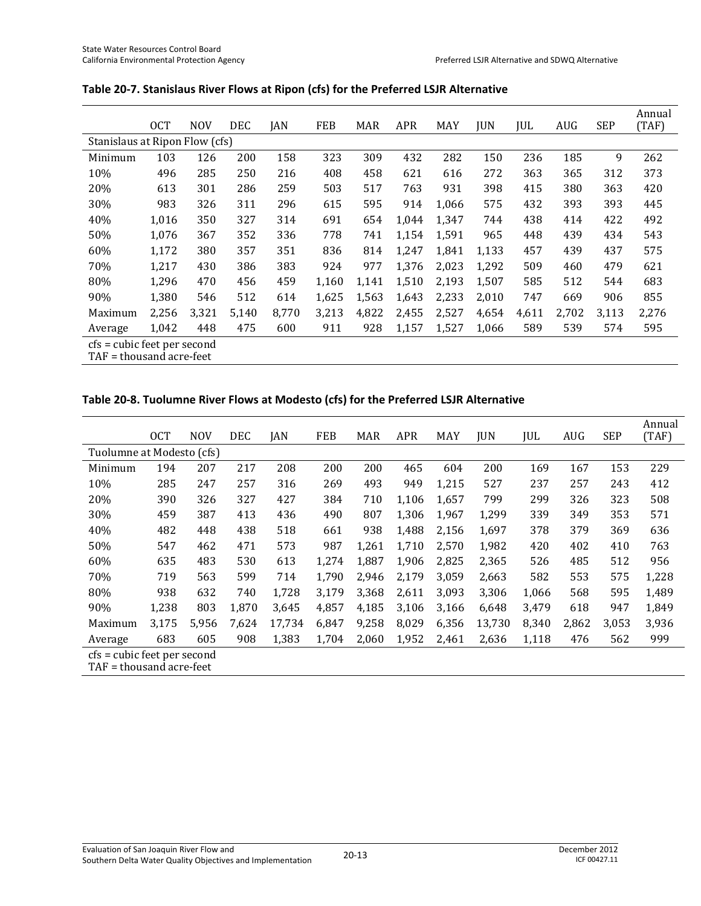|                                                         | <b>OCT</b> | <b>NOV</b> | <b>DEC</b> | JAN   | <b>FEB</b> | <b>MAR</b> | <b>APR</b> | <b>MAY</b> | <b>JUN</b> | JUL   | <b>AUG</b> | <b>SEP</b> | Annual<br>(TAF) |
|---------------------------------------------------------|------------|------------|------------|-------|------------|------------|------------|------------|------------|-------|------------|------------|-----------------|
| Stanislaus at Ripon Flow (cfs)                          |            |            |            |       |            |            |            |            |            |       |            |            |                 |
|                                                         |            |            |            |       |            |            |            |            |            |       |            |            |                 |
| Minimum                                                 | 103        | 126        | 200        | 158   | 323        | 309        | 432        | 282        | 150        | 236   | 185        | 9          | 262             |
| 10%                                                     | 496        | 285        | 250        | 216   | 408        | 458        | 621        | 616        | 272        | 363   | 365        | 312        | 373             |
| 20%                                                     | 613        | 301        | 286        | 259   | 503        | 517        | 763        | 931        | 398        | 415   | 380        | 363        | 420             |
| 30%                                                     | 983        | 326        | 311        | 296   | 615        | 595        | 914        | 1.066      | 575        | 432   | 393        | 393        | 445             |
| 40%                                                     | 1,016      | 350        | 327        | 314   | 691        | 654        | 1,044      | 1,347      | 744        | 438   | 414        | 422        | 492             |
| 50%                                                     | 1,076      | 367        | 352        | 336   | 778        | 741        | 1,154      | 1,591      | 965        | 448   | 439        | 434        | 543             |
| 60%                                                     | 1,172      | 380        | 357        | 351   | 836        | 814        | 1,247      | 1,841      | 1,133      | 457   | 439        | 437        | 575             |
| 70%                                                     | 1.217      | 430        | 386        | 383   | 924        | 977        | 1.376      | 2,023      | 1,292      | 509   | 460        | 479        | 621             |
| 80%                                                     | 1,296      | 470        | 456        | 459   | 1,160      | 1,141      | 1,510      | 2,193      | 1,507      | 585   | 512        | 544        | 683             |
| 90%                                                     | 1,380      | 546        | 512        | 614   | 1,625      | 1.563      | 1,643      | 2,233      | 2,010      | 747   | 669        | 906        | 855             |
| Maximum                                                 | 2,256      | 3,321      | 5,140      | 8.770 | 3,213      | 4,822      | 2,455      | 2,527      | 4,654      | 4,611 | 2,702      | 3,113      | 2,276           |
| Average                                                 | 1.042      | 448        | 475        | 600   | 911        | 928        | 1,157      | 1,527      | 1,066      | 589   | 539        | 574        | 595             |
| cfs = cubic feet per second<br>TAF = thousand acre-feet |            |            |            |       |            |            |            |            |            |       |            |            |                 |

#### **Table 20-7. Stanislaus River Flows at Ripon (cfs) for the Preferred LSJR Alternative**

### **Table 20-8. Tuolumne River Flows at Modesto (cfs) for the Preferred LSJR Alternative**

|                                                         | <b>OCT</b> | <b>NOV</b> | <b>DEC</b> | JAN    | FEB   | <b>MAR</b> | <b>APR</b> | MAY   | <b>JUN</b> | JUL   | AUG   | <b>SEP</b> | Annual<br>(TAF) |
|---------------------------------------------------------|------------|------------|------------|--------|-------|------------|------------|-------|------------|-------|-------|------------|-----------------|
| Tuolumne at Modesto (cfs)                               |            |            |            |        |       |            |            |       |            |       |       |            |                 |
| Minimum                                                 | 194        | 207        | 217        | 208    | 200   | 200        | 465        | 604   | 200        | 169   | 167   | 153        | 229             |
| 10%                                                     | 285        | 247        | 257        | 316    | 269   | 493        | 949        | 1,215 | 527        | 237   | 257   | 243        | 412             |
| 20%                                                     | 390        | 326        | 327        | 427    | 384   | 710        | 1,106      | 1,657 | 799        | 299   | 326   | 323        | 508             |
| 30%                                                     | 459        | 387        | 413        | 436    | 490   | 807        | 1,306      | 1,967 | 1,299      | 339   | 349   | 353        | 571             |
| 40%                                                     | 482        | 448        | 438        | 518    | 661   | 938        | 1,488      | 2,156 | 1,697      | 378   | 379   | 369        | 636             |
| 50%                                                     | 547        | 462        | 471        | 573    | 987   | 1,261      | 1,710      | 2,570 | 1,982      | 420   | 402   | 410        | 763             |
| 60%                                                     | 635        | 483        | 530        | 613    | 1,274 | 1,887      | 1,906      | 2,825 | 2,365      | 526   | 485   | 512        | 956             |
| 70%                                                     | 719        | 563        | 599        | 714    | 1,790 | 2.946      | 2.179      | 3,059 | 2,663      | 582   | 553   | 575        | 1,228           |
| 80%                                                     | 938        | 632        | 740        | 1,728  | 3,179 | 3,368      | 2,611      | 3,093 | 3,306      | 1,066 | 568   | 595        | 1,489           |
| 90%                                                     | 1,238      | 803        | 1,870      | 3,645  | 4,857 | 4,185      | 3,106      | 3,166 | 6,648      | 3,479 | 618   | 947        | 1,849           |
| Maximum                                                 | 3,175      | 5,956      | 7,624      | 17,734 | 6,847 | 9,258      | 8,029      | 6,356 | 13,730     | 8,340 | 2,862 | 3,053      | 3,936           |
| Average                                                 | 683        | 605        | 908        | 1,383  | 1,704 | 2,060      | 1,952      | 2,461 | 2,636      | 1,118 | 476   | 562        | 999             |
| cfs = cubic feet per second<br>TAF = thousand acre-feet |            |            |            |        |       |            |            |       |            |       |       |            |                 |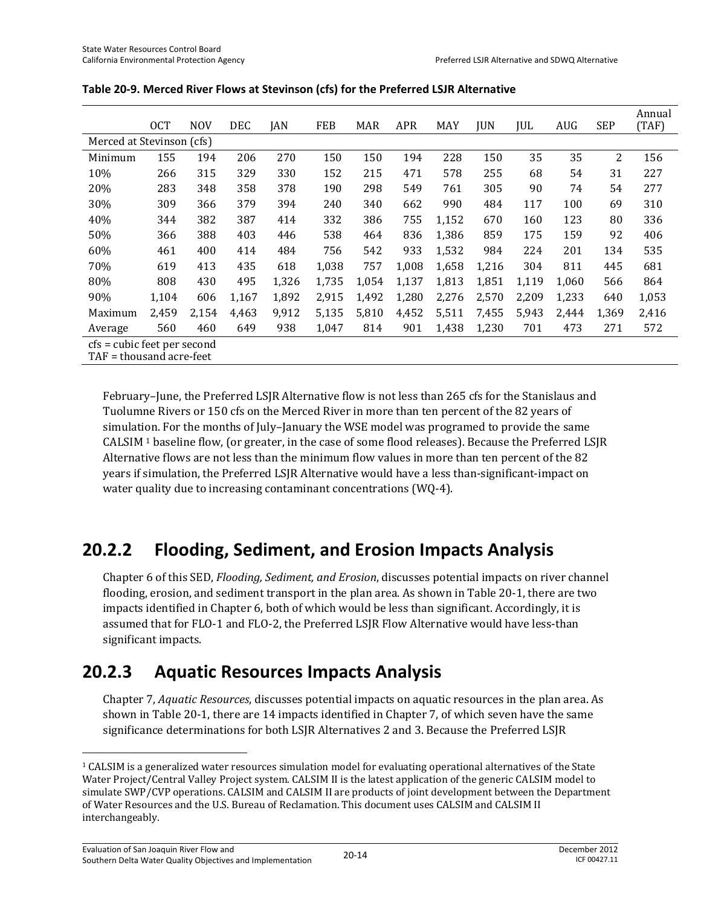|                                                         | <b>OCT</b> | <b>NOV</b> | <b>DEC</b> | <b>JAN</b> | FEB   | <b>MAR</b> | <b>APR</b> | MAY   | <b>JUN</b> | JUL   | <b>AUG</b> | <b>SEP</b> | Annual<br>(TAF) |
|---------------------------------------------------------|------------|------------|------------|------------|-------|------------|------------|-------|------------|-------|------------|------------|-----------------|
| Merced at Stevinson (cfs)                               |            |            |            |            |       |            |            |       |            |       |            |            |                 |
| Minimum                                                 | 155        | 194        | 206        | 270        | 150   | 150        | 194        | 228   | 150        | 35    | 35         | 2          | 156             |
| 10%                                                     | 266        | 315        | 329        | 330        | 152   | 215        | 471        | 578   | 255        | 68    | 54         | 31         | 227             |
| 20%                                                     | 283        | 348        | 358        | 378        | 190   | 298        | 549        | 761   | 305        | 90    | 74         | 54         | 277             |
| 30%                                                     | 309        | 366        | 379        | 394        | 240   | 340        | 662        | 990   | 484        | 117   | 100        | 69         | 310             |
| 40%                                                     | 344        | 382        | 387        | 414        | 332   | 386        | 755        | 1,152 | 670        | 160   | 123        | 80         | 336             |
| 50%                                                     | 366        | 388        | 403        | 446        | 538   | 464        | 836        | 1,386 | 859        | 175   | 159        | 92         | 406             |
| 60%                                                     | 461        | 400        | 414        | 484        | 756   | 542        | 933        | 1,532 | 984        | 224   | 201        | 134        | 535             |
| 70%                                                     | 619        | 413        | 435        | 618        | 1,038 | 757        | 1,008      | 1,658 | 1,216      | 304   | 811        | 445        | 681             |
| 80%                                                     | 808        | 430        | 495        | 1,326      | 1,735 | 1,054      | 1,137      | 1,813 | 1,851      | 1,119 | 1,060      | 566        | 864             |
| 90%                                                     | 1,104      | 606        | 1,167      | 1,892      | 2,915 | 1.492      | 1,280      | 2,276 | 2,570      | 2,209 | 1,233      | 640        | 1,053           |
| Maximum                                                 | 2.459      | 2,154      | 4.463      | 9,912      | 5,135 | 5.810      | 4,452      | 5,511 | 7,455      | 5,943 | 2,444      | 1,369      | 2,416           |
| Average                                                 | 560        | 460        | 649        | 938        | 1,047 | 814        | 901        | 1,438 | 1,230      | 701   | 473        | 271        | 572             |
| cfs = cubic feet per second<br>TAF = thousand acre-feet |            |            |            |            |       |            |            |       |            |       |            |            |                 |

| Table 20-9. Merced River Flows at Stevinson (cfs) for the Preferred LSJR Alternative |  |
|--------------------------------------------------------------------------------------|--|
|--------------------------------------------------------------------------------------|--|

February–June, the Preferred LSJR Alternative flow is not less than 265 cfs for the Stanislaus and Tuolumne Rivers or 150 cfs on the Merced River in more than ten percent of the 82 years of simulation. For the months of July–January the WSE model was programed to provide the same CALSIM 1 baseline flow, (or greater, in the case of some flood releases). Because the Preferred LSJR Alternative flows are not less than the minimum flow values in more than ten percent of the 82 years if simulation, the Preferred LSJR Alternative would have a less than-significant-impact on water quality due to increasing contaminant concentrations (WQ-4).

## **20.2.2 Flooding, Sediment, and Erosion Impacts Analysis**

Chapter 6 of this SED, *Flooding, Sediment, and Erosion*, discusses potential impacts on river channel flooding, erosion, and sediment transport in the plan area. As shown in Table 20-1, there are two impacts identified in Chapter 6, both of which would be less than significant. Accordingly, it is assumed that for FLO-1 and FLO-2, the Preferred LSJR Flow Alternative would have less-than significant impacts.

## **20.2.3 Aquatic Resources Impacts Analysis**

Chapter 7, *Aquatic Resources*, discusses potential impacts on aquatic resources in the plan area. As shown in Table 20-1, there are 14 impacts identified in Chapter 7, of which seven have the same significance determinations for both LSJR Alternatives 2 and 3. Because the Preferred LSJR

l

<sup>&</sup>lt;sup>1</sup> CALSIM is a generalized water resources simulation model for evaluating operational alternatives of the State Water Project/Central Valley Project system. CALSIM II is the latest application of the generic CALSIM model to simulate SWP/CVP operations. CALSIM and CALSIM II are products of joint development between the Department of Water Resources and the U.S. Bureau of Reclamation. This document uses CALSIM and CALSIM II interchangeably.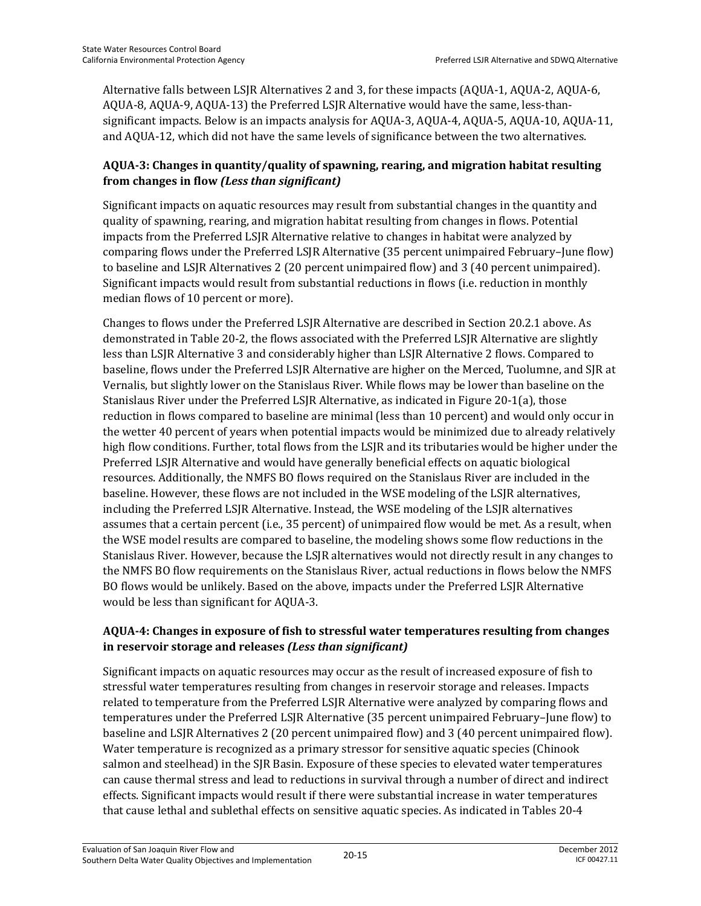Alternative falls between LSJR Alternatives 2 and 3, for these impacts (AQUA-1, AQUA-2, AQUA-6, AQUA-8, AQUA-9, AQUA-13) the Preferred LSJR Alternative would have the same, less-thansignificant impacts. Below is an impacts analysis for AQUA-3, AQUA-4, AQUA-5, AQUA-10, AQUA-11, and AQUA-12, which did not have the same levels of significance between the two alternatives.

#### **AQUA-3: Changes in quantity/quality of spawning, rearing, and migration habitat resulting from changes in flow** *(Less than significant)*

Significant impacts on aquatic resources may result from substantial changes in the quantity and quality of spawning, rearing, and migration habitat resulting from changes in flows. Potential impacts from the Preferred LSJR Alternative relative to changes in habitat were analyzed by comparing flows under the Preferred LSJR Alternative (35 percent unimpaired February–June flow) to baseline and LSJR Alternatives 2 (20 percent unimpaired flow) and 3 (40 percent unimpaired). Significant impacts would result from substantial reductions in flows (i.e. reduction in monthly median flows of 10 percent or more).

Changes to flows under the Preferred LSJR Alternative are described in Section 20.2.1 above. As demonstrated in Table 20-2, the flows associated with the Preferred LSJR Alternative are slightly less than LSJR Alternative 3 and considerably higher than LSJR Alternative 2 flows. Compared to baseline, flows under the Preferred LSJR Alternative are higher on the Merced, Tuolumne, and SJR at Vernalis, but slightly lower on the Stanislaus River. While flows may be lower than baseline on the Stanislaus River under the Preferred LSJR Alternative, as indicated in Figure 20-1(a), those reduction in flows compared to baseline are minimal (less than 10 percent) and would only occur in the wetter 40 percent of years when potential impacts would be minimized due to already relatively high flow conditions. Further, total flows from the LSJR and its tributaries would be higher under the Preferred LSJR Alternative and would have generally beneficial effects on aquatic biological resources. Additionally, the NMFS BO flows required on the Stanislaus River are included in the baseline. However, these flows are not included in the WSE modeling of the LSJR alternatives, including the Preferred LSJR Alternative. Instead, the WSE modeling of the LSJR alternatives assumes that a certain percent (i.e., 35 percent) of unimpaired flow would be met. As a result, when the WSE model results are compared to baseline, the modeling shows some flow reductions in the Stanislaus River. However, because the LSJR alternatives would not directly result in any changes to the NMFS BO flow requirements on the Stanislaus River, actual reductions in flows below the NMFS BO flows would be unlikely. Based on the above, impacts under the Preferred LSJR Alternative would be less than significant for AQUA-3.

### **AQUA-4: Changes in exposure of fish to stressful water temperatures resulting from changes in reservoir storage and releases** *(Less than significant)*

Significant impacts on aquatic resources may occur as the result of increased exposure of fish to stressful water temperatures resulting from changes in reservoir storage and releases. Impacts related to temperature from the Preferred LSJR Alternative were analyzed by comparing flows and temperatures under the Preferred LSJR Alternative (35 percent unimpaired February–June flow) to baseline and LSJR Alternatives 2 (20 percent unimpaired flow) and 3 (40 percent unimpaired flow). Water temperature is recognized as a primary stressor for sensitive aquatic species (Chinook salmon and steelhead) in the SJR Basin. Exposure of these species to elevated water temperatures can cause thermal stress and lead to reductions in survival through a number of direct and indirect effects. Significant impacts would result if there were substantial increase in water temperatures that cause lethal and sublethal effects on sensitive aquatic species. As indicated in Tables 20-4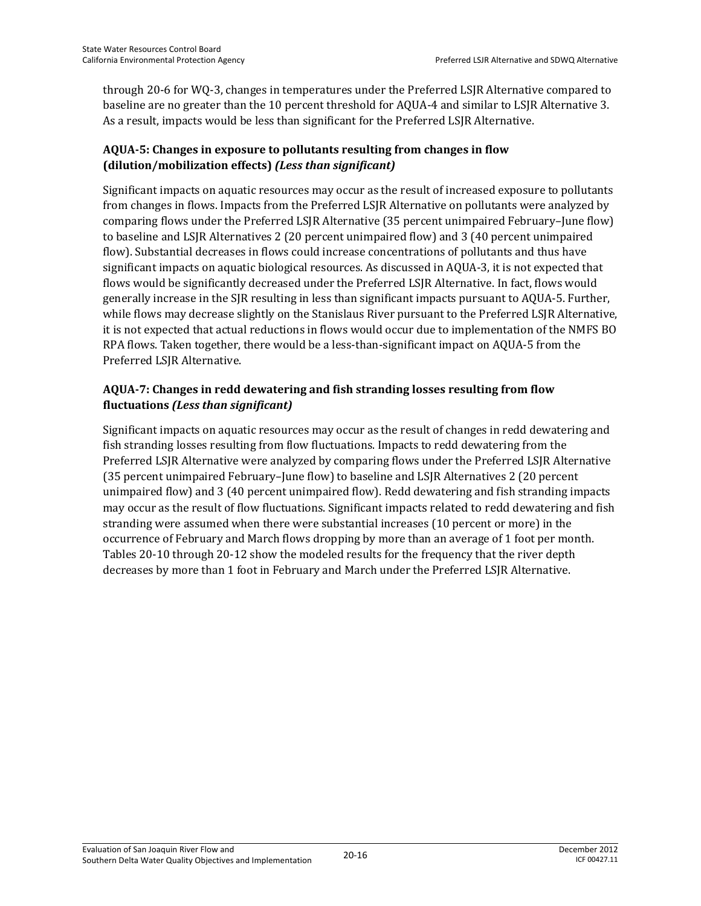through 20-6 for WQ-3, changes in temperatures under the Preferred LSJR Alternative compared to baseline are no greater than the 10 percent threshold for AQUA-4 and similar to LSJR Alternative 3. As a result, impacts would be less than significant for the Preferred LSJR Alternative.

### **AQUA-5: Changes in exposure to pollutants resulting from changes in flow (dilution/mobilization effects)** *(Less than significant)*

Significant impacts on aquatic resources may occur as the result of increased exposure to pollutants from changes in flows. Impacts from the Preferred LSJR Alternative on pollutants were analyzed by comparing flows under the Preferred LSJR Alternative (35 percent unimpaired February–June flow) to baseline and LSJR Alternatives 2 (20 percent unimpaired flow) and 3 (40 percent unimpaired flow). Substantial decreases in flows could increase concentrations of pollutants and thus have significant impacts on aquatic biological resources. As discussed in AQUA-3, it is not expected that flows would be significantly decreased under the Preferred LSJR Alternative. In fact, flows would generally increase in the SJR resulting in less than significant impacts pursuant to AQUA-5. Further, while flows may decrease slightly on the Stanislaus River pursuant to the Preferred LSJR Alternative, it is not expected that actual reductions in flows would occur due to implementation of the NMFS BO RPA flows. Taken together, there would be a less-than-significant impact on AQUA-5 from the Preferred LSJR Alternative.

### **AQUA-7: Changes in redd dewatering and fish stranding losses resulting from flow fluctuations** *(Less than significant)*

Significant impacts on aquatic resources may occur as the result of changes in redd dewatering and fish stranding losses resulting from flow fluctuations. Impacts to redd dewatering from the Preferred LSJR Alternative were analyzed by comparing flows under the Preferred LSJR Alternative (35 percent unimpaired February–June flow) to baseline and LSJR Alternatives 2 (20 percent unimpaired flow) and 3 (40 percent unimpaired flow). Redd dewatering and fish stranding impacts may occur as the result of flow fluctuations. Significant impacts related to redd dewatering and fish stranding were assumed when there were substantial increases (10 percent or more) in the occurrence of February and March flows dropping by more than an average of 1 foot per month. Tables 20-10 through 20-12 show the modeled results for the frequency that the river depth decreases by more than 1 foot in February and March under the Preferred LSJR Alternative.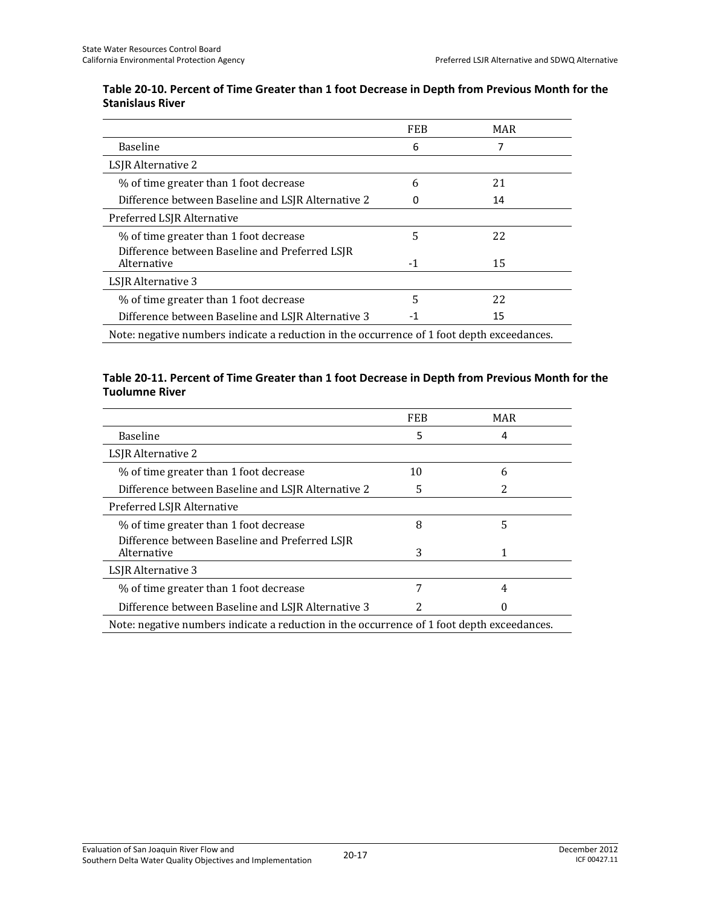#### **Table 20-10. Percent of Time Greater than 1 foot Decrease in Depth from Previous Month for the Stanislaus River**

|                                                                                            | <b>FEB</b> | MAR |  |
|--------------------------------------------------------------------------------------------|------------|-----|--|
| <b>Baseline</b>                                                                            | 6          |     |  |
| LSJR Alternative 2                                                                         |            |     |  |
| % of time greater than 1 foot decrease                                                     | 6          | 21  |  |
| Difference between Baseline and LSJR Alternative 2                                         |            | 14  |  |
| Preferred LSJR Alternative                                                                 |            |     |  |
| % of time greater than 1 foot decrease                                                     | 5          | 22  |  |
| Difference between Baseline and Preferred LSJR<br>Alternative                              | $-1$       | 15  |  |
| LSJR Alternative 3                                                                         |            |     |  |
| % of time greater than 1 foot decrease                                                     | 5          | 22  |  |
| Difference between Baseline and LSJR Alternative 3                                         | -1         | 15  |  |
| Note: negative numbers indicate a reduction in the occurrence of 1 foot depth exceedances. |            |     |  |

#### **Table 20-11. Percent of Time Greater than 1 foot Decrease in Depth from Previous Month for the Tuolumne River**

|                                                                                            | <b>FEB</b> | MAR |  |
|--------------------------------------------------------------------------------------------|------------|-----|--|
| <b>Baseline</b>                                                                            | 5          | 4   |  |
| LSJR Alternative 2                                                                         |            |     |  |
| % of time greater than 1 foot decrease                                                     | 10         | 6   |  |
| Difference between Baseline and LSJR Alternative 2                                         | 5          |     |  |
| Preferred LSJR Alternative                                                                 |            |     |  |
| % of time greater than 1 foot decrease                                                     | 8          | 5   |  |
| Difference between Baseline and Preferred LSJR<br>Alternative                              | 3          |     |  |
| LSJR Alternative 3                                                                         |            |     |  |
| % of time greater than 1 foot decrease                                                     | 7          | 4   |  |
| Difference between Baseline and LSJR Alternative 3                                         |            |     |  |
| Note: negative numbers indicate a reduction in the occurrence of 1 foot depth exceedances. |            |     |  |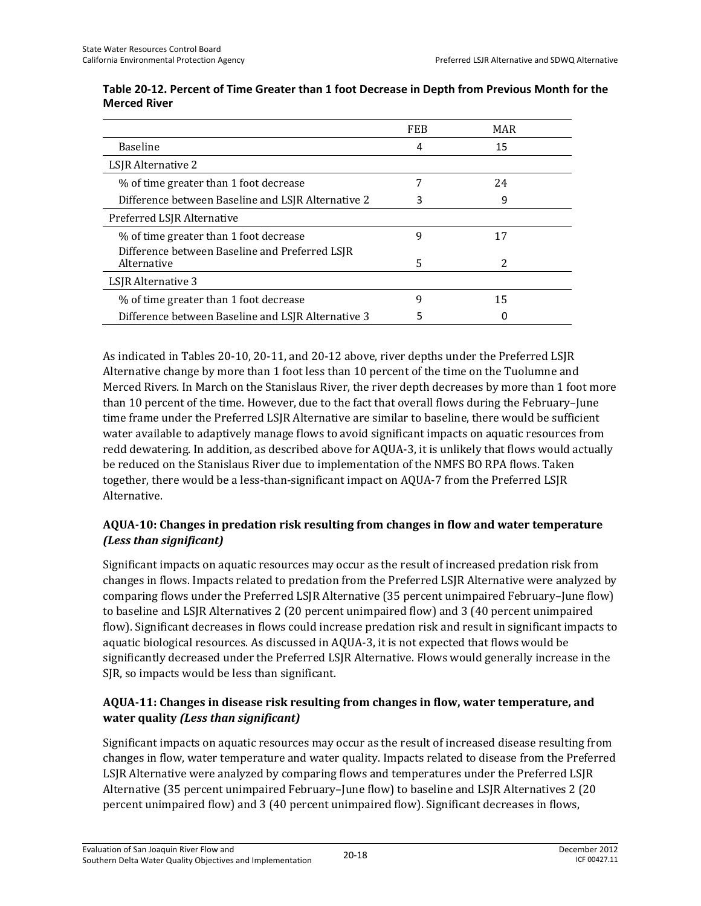|                                                               | <b>FEB</b> | MAR           |  |
|---------------------------------------------------------------|------------|---------------|--|
| <b>Baseline</b>                                               | 4          | 15            |  |
| LSJR Alternative 2                                            |            |               |  |
| % of time greater than 1 foot decrease                        |            | 24            |  |
| Difference between Baseline and LSJR Alternative 2            |            | q             |  |
| Preferred LSJR Alternative                                    |            |               |  |
| % of time greater than 1 foot decrease                        | 9          | 17            |  |
| Difference between Baseline and Preferred LSJR<br>Alternative | 5          | $\mathcal{P}$ |  |
| LSIR Alternative 3                                            |            |               |  |
| % of time greater than 1 foot decrease                        | 9          | 15            |  |
| Difference between Baseline and LSJR Alternative 3            |            |               |  |

#### **Table 20-12. Percent of Time Greater than 1 foot Decrease in Depth from Previous Month for the Merced River**

As indicated in Tables 20-10, 20-11, and 20-12 above, river depths under the Preferred LSJR Alternative change by more than 1 foot less than 10 percent of the time on the Tuolumne and Merced Rivers. In March on the Stanislaus River, the river depth decreases by more than 1 foot more than 10 percent of the time. However, due to the fact that overall flows during the February–June time frame under the Preferred LSJR Alternative are similar to baseline, there would be sufficient water available to adaptively manage flows to avoid significant impacts on aquatic resources from redd dewatering. In addition, as described above for AQUA-3, it is unlikely that flows would actually be reduced on the Stanislaus River due to implementation of the NMFS BO RPA flows. Taken together, there would be a less-than-significant impact on AQUA-7 from the Preferred LSJR Alternative.

### **AQUA-10: Changes in predation risk resulting from changes in flow and water temperature**  *(Less than significant)*

Significant impacts on aquatic resources may occur as the result of increased predation risk from changes in flows. Impacts related to predation from the Preferred LSJR Alternative were analyzed by comparing flows under the Preferred LSJR Alternative (35 percent unimpaired February–June flow) to baseline and LSJR Alternatives 2 (20 percent unimpaired flow) and 3 (40 percent unimpaired flow). Significant decreases in flows could increase predation risk and result in significant impacts to aquatic biological resources. As discussed in AQUA-3, it is not expected that flows would be significantly decreased under the Preferred LSJR Alternative. Flows would generally increase in the SJR, so impacts would be less than significant.

### **AQUA-11: Changes in disease risk resulting from changes in flow, water temperature, and water quality** *(Less than significant)*

Significant impacts on aquatic resources may occur as the result of increased disease resulting from changes in flow, water temperature and water quality. Impacts related to disease from the Preferred LSJR Alternative were analyzed by comparing flows and temperatures under the Preferred LSJR Alternative (35 percent unimpaired February–June flow) to baseline and LSJR Alternatives 2 (20 percent unimpaired flow) and 3 (40 percent unimpaired flow). Significant decreases in flows,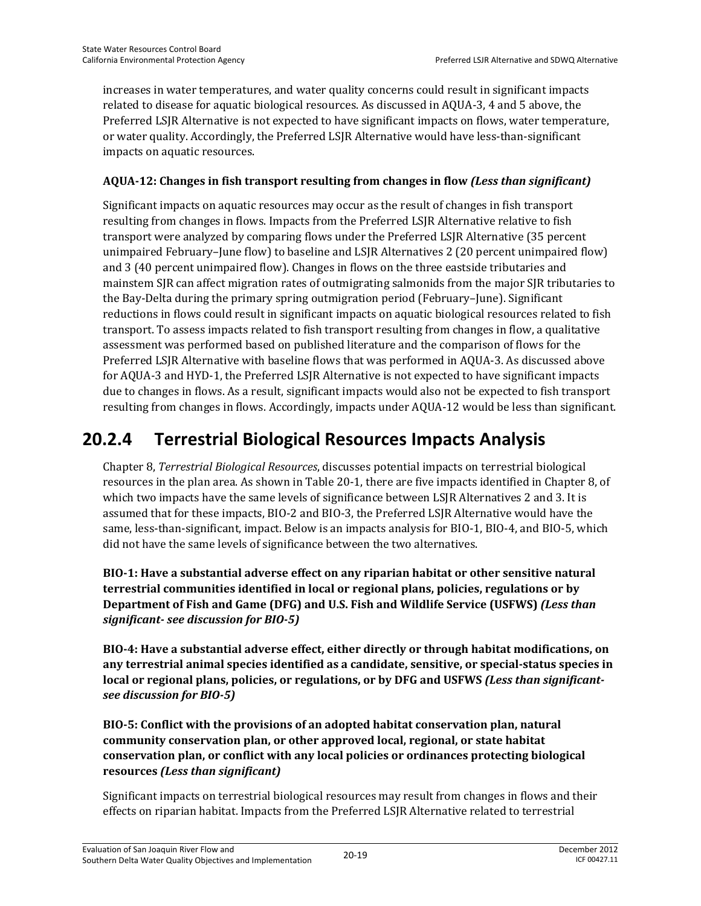increases in water temperatures, and water quality concerns could result in significant impacts related to disease for aquatic biological resources. As discussed in AQUA-3, 4 and 5 above, the Preferred LSJR Alternative is not expected to have significant impacts on flows, water temperature, or water quality. Accordingly, the Preferred LSJR Alternative would have less-than-significant impacts on aquatic resources.

#### **AQUA-12: Changes in fish transport resulting from changes in flow** *(Less than significant)*

Significant impacts on aquatic resources may occur as the result of changes in fish transport resulting from changes in flows. Impacts from the Preferred LSJR Alternative relative to fish transport were analyzed by comparing flows under the Preferred LSJR Alternative (35 percent unimpaired February–June flow) to baseline and LSJR Alternatives 2 (20 percent unimpaired flow) and 3 (40 percent unimpaired flow). Changes in flows on the three eastside tributaries and mainstem SJR can affect migration rates of outmigrating salmonids from the major SJR tributaries to the Bay-Delta during the primary spring outmigration period (February–June). Significant reductions in flows could result in significant impacts on aquatic biological resources related to fish transport. To assess impacts related to fish transport resulting from changes in flow, a qualitative assessment was performed based on published literature and the comparison of flows for the Preferred LSJR Alternative with baseline flows that was performed in AQUA-3. As discussed above for AQUA-3 and HYD-1, the Preferred LSJR Alternative is not expected to have significant impacts due to changes in flows. As a result, significant impacts would also not be expected to fish transport resulting from changes in flows. Accordingly, impacts under AQUA-12 would be less than significant.

## **20.2.4 Terrestrial Biological Resources Impacts Analysis**

Chapter 8, *Terrestrial Biological Resources*, discusses potential impacts on terrestrial biological resources in the plan area. As shown in Table 20-1, there are five impacts identified in Chapter 8, of which two impacts have the same levels of significance between LSJR Alternatives 2 and 3. It is assumed that for these impacts, BIO-2 and BIO-3, the Preferred LSJR Alternative would have the same, less-than-significant, impact. Below is an impacts analysis for BIO-1, BIO-4, and BIO-5, which did not have the same levels of significance between the two alternatives.

**BIO-1: Have a substantial adverse effect on any riparian habitat or other sensitive natural terrestrial communities identified in local or regional plans, policies, regulations or by Department of Fish and Game (DFG) and U.S. Fish and Wildlife Service (USFWS)** *(Less than significant- see discussion for BIO-5)* 

**BIO-4: Have a substantial adverse effect, either directly or through habitat modifications, on any terrestrial animal species identified as a candidate, sensitive, or special-status species in local or regional plans, policies, or regulations, or by DFG and USFWS** *(Less than significantsee discussion for BIO-5)*

**BIO-5: Conflict with the provisions of an adopted habitat conservation plan, natural community conservation plan, or other approved local, regional, or state habitat conservation plan, or conflict with any local policies or ordinances protecting biological resources** *(Less than significant)*

Significant impacts on terrestrial biological resources may result from changes in flows and their effects on riparian habitat. Impacts from the Preferred LSJR Alternative related to terrestrial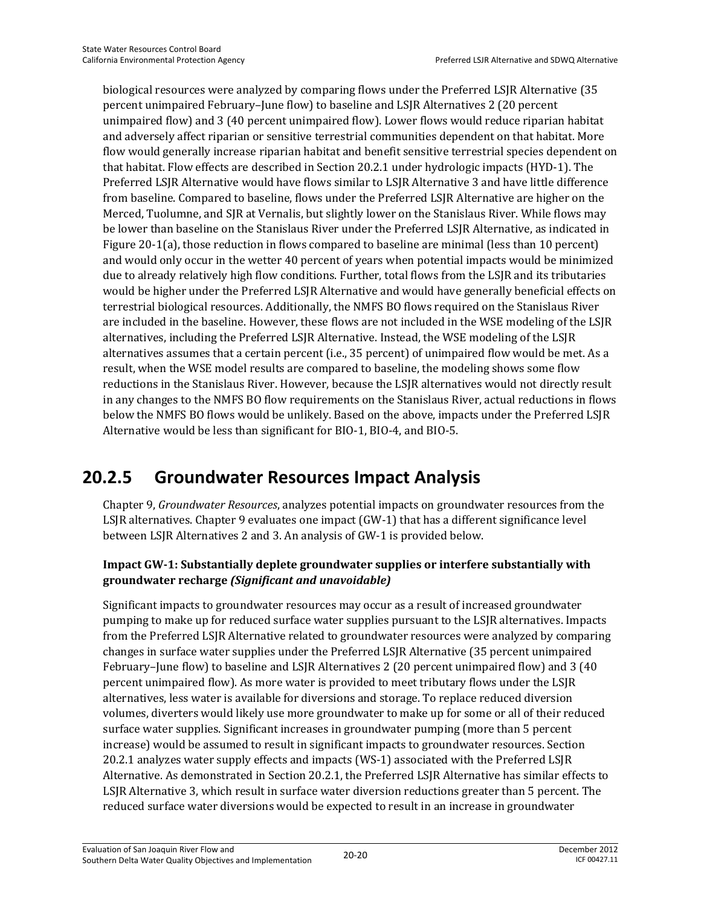biological resources were analyzed by comparing flows under the Preferred LSJR Alternative (35 percent unimpaired February–June flow) to baseline and LSJR Alternatives 2 (20 percent unimpaired flow) and 3 (40 percent unimpaired flow). Lower flows would reduce riparian habitat and adversely affect riparian or sensitive terrestrial communities dependent on that habitat. More flow would generally increase riparian habitat and benefit sensitive terrestrial species dependent on that habitat. Flow effects are described in Section 20.2.1 under hydrologic impacts (HYD-1). The Preferred LSJR Alternative would have flows similar to LSJR Alternative 3 and have little difference from baseline. Compared to baseline, flows under the Preferred LSJR Alternative are higher on the Merced, Tuolumne, and SJR at Vernalis, but slightly lower on the Stanislaus River. While flows may be lower than baseline on the Stanislaus River under the Preferred LSJR Alternative, as indicated in Figure 20-1(a), those reduction in flows compared to baseline are minimal (less than 10 percent) and would only occur in the wetter 40 percent of years when potential impacts would be minimized due to already relatively high flow conditions. Further, total flows from the LSJR and its tributaries would be higher under the Preferred LSJR Alternative and would have generally beneficial effects on terrestrial biological resources. Additionally, the NMFS BO flows required on the Stanislaus River are included in the baseline. However, these flows are not included in the WSE modeling of the LSJR alternatives, including the Preferred LSJR Alternative. Instead, the WSE modeling of the LSJR alternatives assumes that a certain percent (i.e., 35 percent) of unimpaired flow would be met. As a result, when the WSE model results are compared to baseline, the modeling shows some flow reductions in the Stanislaus River. However, because the LSJR alternatives would not directly result in any changes to the NMFS BO flow requirements on the Stanislaus River, actual reductions in flows below the NMFS BO flows would be unlikely. Based on the above, impacts under the Preferred LSJR Alternative would be less than significant for BIO-1, BIO-4, and BIO-5.

## **20.2.5 Groundwater Resources Impact Analysis**

Chapter 9, *Groundwater Resources*, analyzes potential impacts on groundwater resources from the LSJR alternatives. Chapter 9 evaluates one impact (GW-1) that has a different significance level between LSJR Alternatives 2 and 3. An analysis of GW-1 is provided below.

### **Impact GW-1: Substantially deplete groundwater supplies or interfere substantially with groundwater recharge** *(Significant and unavoidable)*

Significant impacts to groundwater resources may occur as a result of increased groundwater pumping to make up for reduced surface water supplies pursuant to the LSJR alternatives. Impacts from the Preferred LSJR Alternative related to groundwater resources were analyzed by comparing changes in surface water supplies under the Preferred LSJR Alternative (35 percent unimpaired February–June flow) to baseline and LSJR Alternatives 2 (20 percent unimpaired flow) and 3 (40 percent unimpaired flow). As more water is provided to meet tributary flows under the LSJR alternatives, less water is available for diversions and storage. To replace reduced diversion volumes, diverters would likely use more groundwater to make up for some or all of their reduced surface water supplies. Significant increases in groundwater pumping (more than 5 percent increase) would be assumed to result in significant impacts to groundwater resources. Section 20.2.1 analyzes water supply effects and impacts (WS-1) associated with the Preferred LSJR Alternative. As demonstrated in Section 20.2.1, the Preferred LSJR Alternative has similar effects to LSJR Alternative 3, which result in surface water diversion reductions greater than 5 percent. The reduced surface water diversions would be expected to result in an increase in groundwater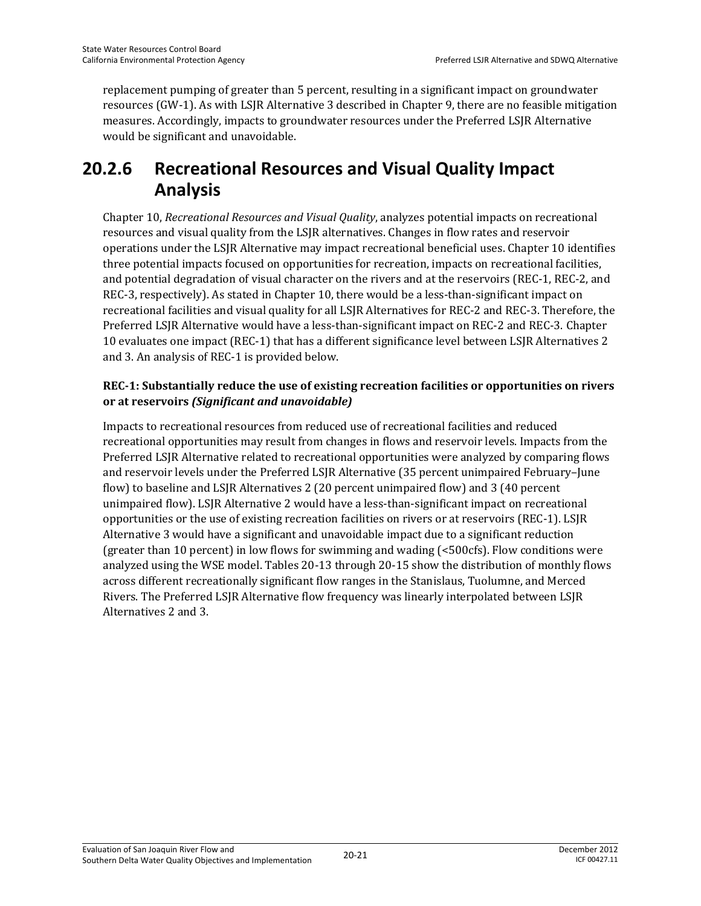replacement pumping of greater than 5 percent, resulting in a significant impact on groundwater resources (GW-1). As with LSJR Alternative 3 described in Chapter 9, there are no feasible mitigation measures. Accordingly, impacts to groundwater resources under the Preferred LSJR Alternative would be significant and unavoidable.

## **20.2.6 Recreational Resources and Visual Quality Impact Analysis**

Chapter 10, *Recreational Resources and Visual Quality*, analyzes potential impacts on recreational resources and visual quality from the LSJR alternatives. Changes in flow rates and reservoir operations under the LSJR Alternative may impact recreational beneficial uses. Chapter 10 identifies three potential impacts focused on opportunities for recreation, impacts on recreational facilities, and potential degradation of visual character on the rivers and at the reservoirs (REC-1, REC-2, and REC-3, respectively). As stated in Chapter 10, there would be a less-than-significant impact on recreational facilities and visual quality for all LSJR Alternatives for REC-2 and REC-3. Therefore, the Preferred LSJR Alternative would have a less-than-significant impact on REC-2 and REC-3. Chapter 10 evaluates one impact (REC-1) that has a different significance level between LSJR Alternatives 2 and 3. An analysis of REC-1 is provided below.

#### **REC-1: Substantially reduce the use of existing recreation facilities or opportunities on rivers or at reservoirs** *(Significant and unavoidable)*

Impacts to recreational resources from reduced use of recreational facilities and reduced recreational opportunities may result from changes in flows and reservoir levels. Impacts from the Preferred LSJR Alternative related to recreational opportunities were analyzed by comparing flows and reservoir levels under the Preferred LSJR Alternative (35 percent unimpaired February–June flow) to baseline and LSJR Alternatives 2 (20 percent unimpaired flow) and 3 (40 percent unimpaired flow). LSJR Alternative 2 would have a less-than-significant impact on recreational opportunities or the use of existing recreation facilities on rivers or at reservoirs (REC-1). LSJR Alternative 3 would have a significant and unavoidable impact due to a significant reduction (greater than 10 percent) in low flows for swimming and wading (<500cfs). Flow conditions were analyzed using the WSE model. Tables 20-13 through 20-15 show the distribution of monthly flows across different recreationally significant flow ranges in the Stanislaus, Tuolumne, and Merced Rivers. The Preferred LSJR Alternative flow frequency was linearly interpolated between LSJR Alternatives 2 and 3.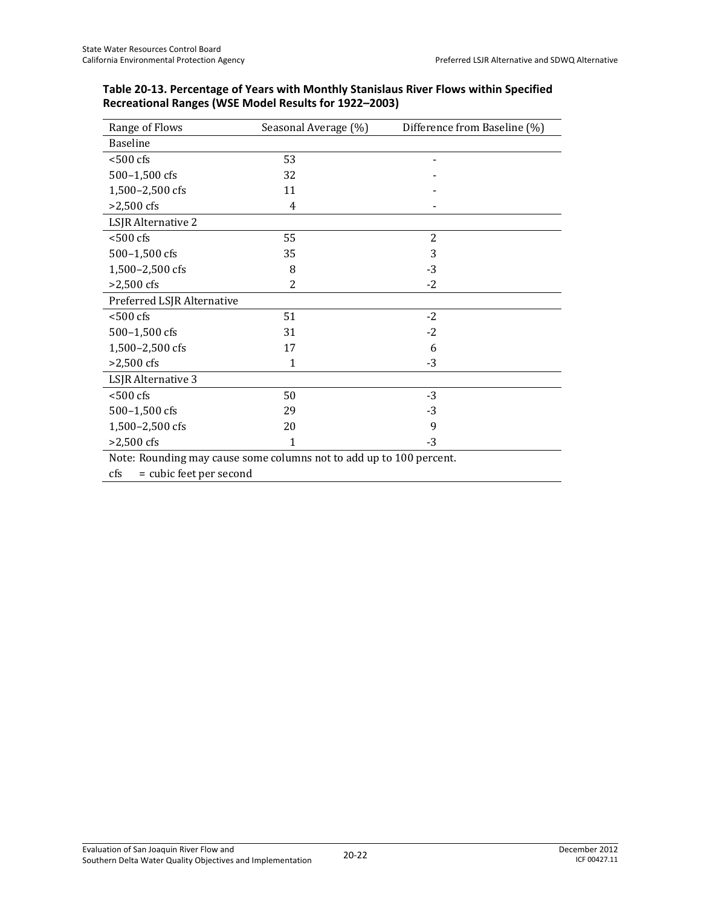| Range of Flows                                                      | Seasonal Average (%) | Difference from Baseline (%) |  |  |  |
|---------------------------------------------------------------------|----------------------|------------------------------|--|--|--|
| <b>Baseline</b>                                                     |                      |                              |  |  |  |
| $< 500 \text{ cfs}$                                                 | 53                   |                              |  |  |  |
| 500-1,500 cfs                                                       | 32                   |                              |  |  |  |
| 1,500-2,500 cfs                                                     | 11                   |                              |  |  |  |
| $>2,500$ cfs                                                        | 4                    |                              |  |  |  |
| LSJR Alternative 2                                                  |                      |                              |  |  |  |
| $< 500$ cfs                                                         | 55                   | $\overline{2}$               |  |  |  |
| 500-1,500 cfs                                                       | 35                   | 3                            |  |  |  |
| 1,500-2,500 cfs                                                     | 8                    | $-3$                         |  |  |  |
| $>2,500$ cfs                                                        | $\overline{2}$       | $-2$                         |  |  |  |
| Preferred LSJR Alternative                                          |                      |                              |  |  |  |
| $<$ 500 $\mathrm{cfs}$                                              | 51                   | $-2$                         |  |  |  |
| 500-1,500 cfs                                                       | 31                   | $-2$                         |  |  |  |
| 1,500-2,500 cfs                                                     | 17                   | 6                            |  |  |  |
| $>2,500$ cfs                                                        | 1                    | $-3$                         |  |  |  |
| LSJR Alternative 3                                                  |                      |                              |  |  |  |
| $<$ 500 $<$ fs                                                      | 50                   | $-3$                         |  |  |  |
| 500-1,500 cfs                                                       | 29                   | $-3$                         |  |  |  |
| 1,500-2,500 cfs                                                     | 20                   | 9                            |  |  |  |
| $>2,500$ cfs                                                        | 1                    | $-3$                         |  |  |  |
| Note: Rounding may cause some columns not to add up to 100 percent. |                      |                              |  |  |  |
| = cubic feet per second<br>cfs                                      |                      |                              |  |  |  |

**Table 20-13. Percentage of Years with Monthly Stanislaus River Flows within Specified Recreational Ranges (WSE Model Results for 1922–2003)**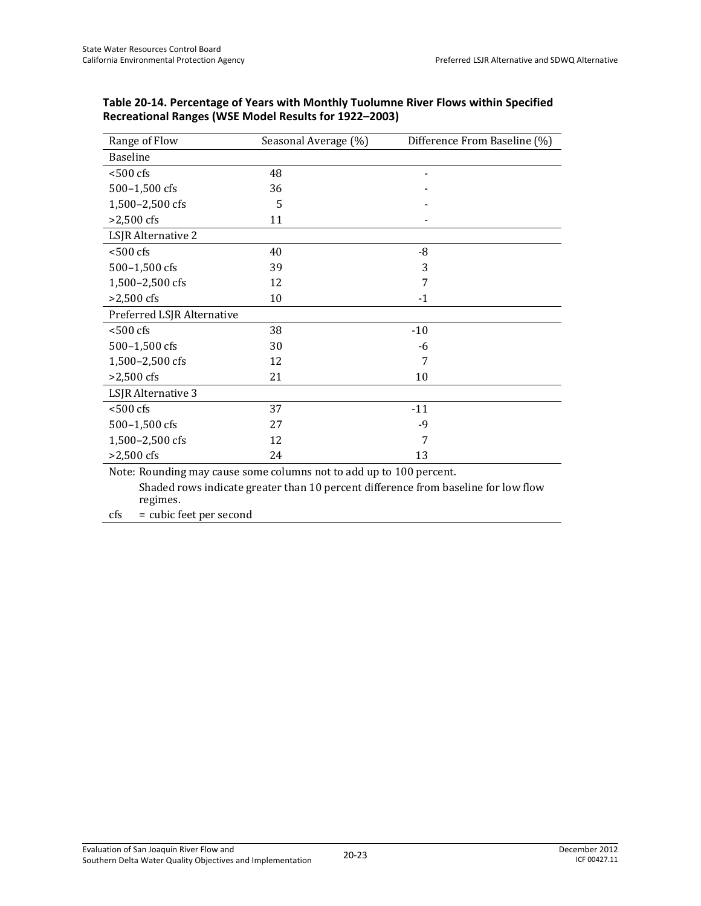| Range of Flow              | Seasonal Average (%)                                               | Difference From Baseline (%) |
|----------------------------|--------------------------------------------------------------------|------------------------------|
| <b>Baseline</b>            |                                                                    |                              |
| $< 500$ cfs                | 48                                                                 |                              |
| 500-1,500 cfs              | 36                                                                 |                              |
| 1,500-2,500 cfs            | 5                                                                  |                              |
| $>2,500$ cfs               | 11                                                                 |                              |
| LSJR Alternative 2         |                                                                    |                              |
| $<$ 500 cfs                | 40                                                                 | -8                           |
| 500-1,500 cfs              | 39                                                                 | 3                            |
| 1,500-2,500 cfs            | 12                                                                 | 7                            |
| $>2,500$ cfs               | 10                                                                 | $-1$                         |
| Preferred LSJR Alternative |                                                                    |                              |
| $< 500$ cfs                | 38                                                                 | $-10$                        |
| 500-1,500 cfs              | 30                                                                 | -6                           |
| 1,500-2,500 cfs            | 12                                                                 | 7                            |
| $>2,500$ cfs               | 21                                                                 | 10                           |
| LSJR Alternative 3         |                                                                    |                              |
| $< 500$ cfs                | 37                                                                 | $-11$                        |
| 500-1,500 cfs              | 27                                                                 | $-9$                         |
| 1,500-2,500 cfs            | 12                                                                 | 7                            |
| $>2,500$ cfs               | 24                                                                 | 13                           |
|                            | Note: Dounding may gauge some solumns not to add up to 100 persont |                              |

| Table 20-14. Percentage of Years with Monthly Tuolumne River Flows within Specified |
|-------------------------------------------------------------------------------------|
| Recreational Ranges (WSE Model Results for 1922–2003)                               |

Note: Rounding may cause some columns not to add up to 100 percent. Shaded rows indicate greater than 10 percent difference from baseline for low flow regimes.

cfs = cubic feet per second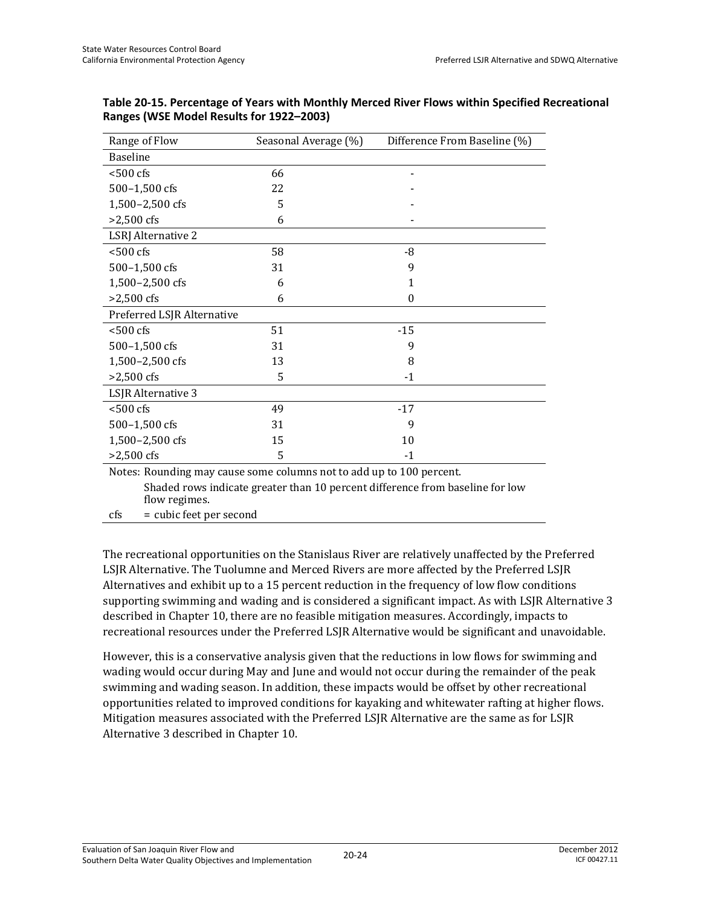| Range of Flow              | Seasonal Average (%)                                                 | Difference From Baseline (%)                                                  |
|----------------------------|----------------------------------------------------------------------|-------------------------------------------------------------------------------|
| <b>Baseline</b>            |                                                                      |                                                                               |
| $< 500$ cfs                | 66                                                                   |                                                                               |
| 500-1,500 cfs              | 22                                                                   |                                                                               |
| 1,500-2,500 cfs            | 5                                                                    |                                                                               |
| $>2,500$ cfs               | 6                                                                    |                                                                               |
| <b>LSRJ</b> Alternative 2  |                                                                      |                                                                               |
| $<$ 500 $<$ fs             | 58                                                                   | -8                                                                            |
| 500-1,500 cfs              | 31                                                                   | 9                                                                             |
| 1,500-2,500 cfs            | 6                                                                    | 1                                                                             |
| $>2,500$ cfs               | 6                                                                    | 0                                                                             |
| Preferred LSJR Alternative |                                                                      |                                                                               |
| $< 500$ cfs                | 51                                                                   | $-15$                                                                         |
| 500-1,500 cfs              | 31                                                                   | 9                                                                             |
| 1,500-2,500 cfs            | 13                                                                   | 8                                                                             |
| $>2,500$ cfs               | 5                                                                    | $-1$                                                                          |
| LSJR Alternative 3         |                                                                      |                                                                               |
| $< 500 \text{ cfs}$        | 49                                                                   | $-17$                                                                         |
| 500-1,500 cfs              | 31                                                                   | 9                                                                             |
| 1,500-2,500 cfs            | 15                                                                   | 10                                                                            |
| $>2,500$ cfs               | 5                                                                    | $-1$                                                                          |
|                            | Notes: Rounding may cause some columns not to add up to 100 percent. |                                                                               |
|                            |                                                                      | Chadad verys indicate questenthan 10 novemb difference from heseline for levy |

| Table 20-15. Percentage of Years with Monthly Merced River Flows within Specified Recreational |  |
|------------------------------------------------------------------------------------------------|--|
| Ranges (WSE Model Results for 1922-2003)                                                       |  |

 Shaded rows indicate greater than 10 percent difference from baseline for low flow regimes.

cfs = cubic feet per second

The recreational opportunities on the Stanislaus River are relatively unaffected by the Preferred LSJR Alternative. The Tuolumne and Merced Rivers are more affected by the Preferred LSJR Alternatives and exhibit up to a 15 percent reduction in the frequency of low flow conditions supporting swimming and wading and is considered a significant impact. As with LSJR Alternative 3 described in Chapter 10, there are no feasible mitigation measures. Accordingly, impacts to recreational resources under the Preferred LSJR Alternative would be significant and unavoidable.

However, this is a conservative analysis given that the reductions in low flows for swimming and wading would occur during May and June and would not occur during the remainder of the peak swimming and wading season. In addition, these impacts would be offset by other recreational opportunities related to improved conditions for kayaking and whitewater rafting at higher flows. Mitigation measures associated with the Preferred LSJR Alternative are the same as for LSJR Alternative 3 described in Chapter 10.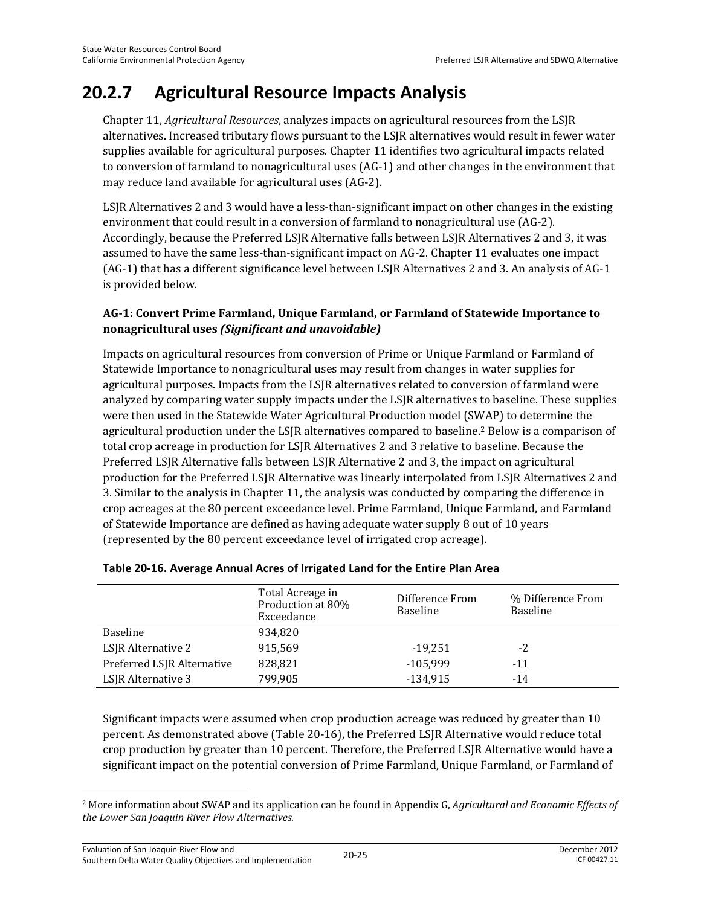## **20.2.7 Agricultural Resource Impacts Analysis**

Chapter 11, *Agricultural Resources*, analyzes impacts on agricultural resources from the LSJR alternatives. Increased tributary flows pursuant to the LSJR alternatives would result in fewer water supplies available for agricultural purposes. Chapter 11 identifies two agricultural impacts related to conversion of farmland to nonagricultural uses (AG-1) and other changes in the environment that may reduce land available for agricultural uses (AG-2).

LSJR Alternatives 2 and 3 would have a less-than-significant impact on other changes in the existing environment that could result in a conversion of farmland to nonagricultural use (AG-2). Accordingly, because the Preferred LSJR Alternative falls between LSJR Alternatives 2 and 3, it was assumed to have the same less-than-significant impact on AG-2. Chapter 11 evaluates one impact (AG-1) that has a different significance level between LSJR Alternatives 2 and 3. An analysis of AG-1 is provided below.

### **AG-1: Convert Prime Farmland, Unique Farmland, or Farmland of Statewide Importance to nonagricultural uses** *(Significant and unavoidable)*

Impacts on agricultural resources from conversion of Prime or Unique Farmland or Farmland of Statewide Importance to nonagricultural uses may result from changes in water supplies for agricultural purposes. Impacts from the LSJR alternatives related to conversion of farmland were analyzed by comparing water supply impacts under the LSJR alternatives to baseline. These supplies were then used in the Statewide Water Agricultural Production model (SWAP) to determine the agricultural production under the LSJR alternatives compared to baseline.2 Below is a comparison of total crop acreage in production for LSJR Alternatives 2 and 3 relative to baseline. Because the Preferred LSJR Alternative falls between LSJR Alternative 2 and 3, the impact on agricultural production for the Preferred LSJR Alternative was linearly interpolated from LSJR Alternatives 2 and 3. Similar to the analysis in Chapter 11, the analysis was conducted by comparing the difference in crop acreages at the 80 percent exceedance level. Prime Farmland, Unique Farmland, and Farmland of Statewide Importance are defined as having adequate water supply 8 out of 10 years (represented by the 80 percent exceedance level of irrigated crop acreage).

|                            | Total Acreage in<br>Production at 80%<br>Exceedance | Difference From<br><b>Baseline</b> | % Difference From<br>Baseline |
|----------------------------|-----------------------------------------------------|------------------------------------|-------------------------------|
| Baseline                   | 934,820                                             |                                    |                               |
| LSJR Alternative 2         | 915,569                                             | $-19,251$                          | $-2$                          |
| Preferred LSJR Alternative | 828,821                                             | $-105,999$                         | $-11$                         |
| LSJR Alternative 3         | 799,905                                             | $-134,915$                         | $-14$                         |

#### **Table 20-16. Average Annual Acres of Irrigated Land for the Entire Plan Area**

Significant impacts were assumed when crop production acreage was reduced by greater than 10 percent. As demonstrated above (Table 20-16), the Preferred LSJR Alternative would reduce total crop production by greater than 10 percent. Therefore, the Preferred LSJR Alternative would have a significant impact on the potential conversion of Prime Farmland, Unique Farmland, or Farmland of

l

<sup>2</sup> More information about SWAP and its application can be found in Appendix G, *Agricultural and Economic Effects of the Lower San Joaquin River Flow Alternatives*.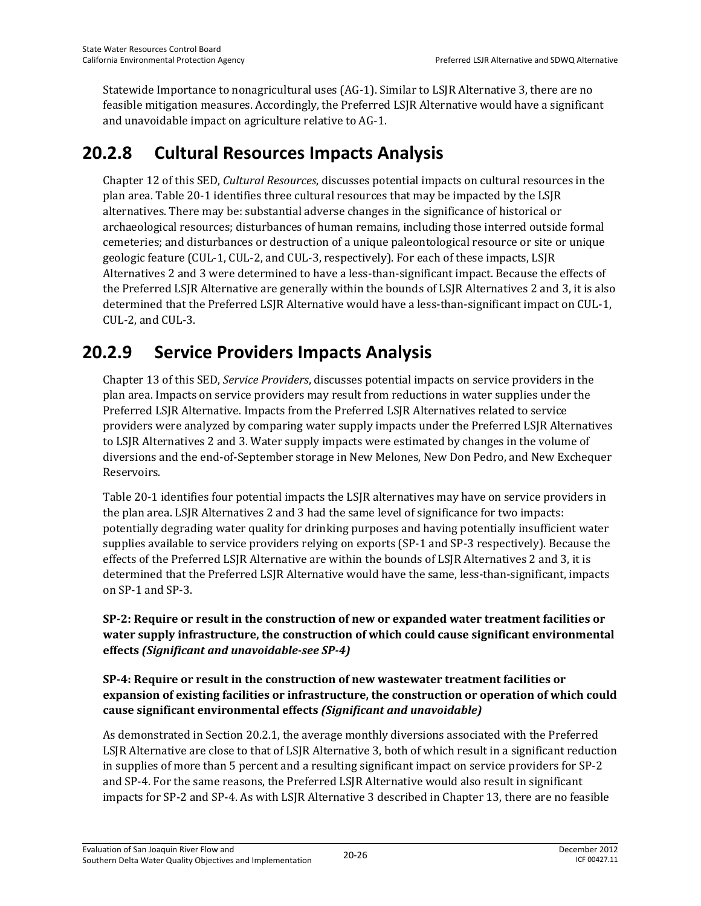Statewide Importance to nonagricultural uses (AG-1). Similar to LSJR Alternative 3, there are no feasible mitigation measures. Accordingly, the Preferred LSJR Alternative would have a significant and unavoidable impact on agriculture relative to AG-1.

## **20.2.8 Cultural Resources Impacts Analysis**

Chapter 12 of this SED, *Cultural Resources*, discusses potential impacts on cultural resources in the plan area. Table 20-1 identifies three cultural resources that may be impacted by the LSJR alternatives. There may be: substantial adverse changes in the significance of historical or archaeological resources; disturbances of human remains, including those interred outside formal cemeteries; and disturbances or destruction of a unique paleontological resource or site or unique geologic feature (CUL-1, CUL-2, and CUL-3, respectively). For each of these impacts, LSJR Alternatives 2 and 3 were determined to have a less-than-significant impact. Because the effects of the Preferred LSJR Alternative are generally within the bounds of LSJR Alternatives 2 and 3, it is also determined that the Preferred LSJR Alternative would have a less-than-significant impact on CUL-1, CUL-2, and CUL-3.

## **20.2.9 Service Providers Impacts Analysis**

Chapter 13 of this SED, *Service Providers*, discusses potential impacts on service providers in the plan area. Impacts on service providers may result from reductions in water supplies under the Preferred LSJR Alternative. Impacts from the Preferred LSJR Alternatives related to service providers were analyzed by comparing water supply impacts under the Preferred LSJR Alternatives to LSJR Alternatives 2 and 3. Water supply impacts were estimated by changes in the volume of diversions and the end-of-September storage in New Melones, New Don Pedro, and New Exchequer Reservoirs.

Table 20-1 identifies four potential impacts the LSJR alternatives may have on service providers in the plan area. LSJR Alternatives 2 and 3 had the same level of significance for two impacts: potentially degrading water quality for drinking purposes and having potentially insufficient water supplies available to service providers relying on exports (SP-1 and SP-3 respectively). Because the effects of the Preferred LSJR Alternative are within the bounds of LSJR Alternatives 2 and 3, it is determined that the Preferred LSJR Alternative would have the same, less-than-significant, impacts on SP-1 and SP-3.

### **SP-2: Require or result in the construction of new or expanded water treatment facilities or water supply infrastructure, the construction of which could cause significant environmental effects** *(Significant and unavoidable-see SP-4)*

### **SP-4: Require or result in the construction of new wastewater treatment facilities or expansion of existing facilities or infrastructure, the construction or operation of which could cause significant environmental effects** *(Significant and unavoidable)*

As demonstrated in Section 20.2.1, the average monthly diversions associated with the Preferred LSJR Alternative are close to that of LSJR Alternative 3, both of which result in a significant reduction in supplies of more than 5 percent and a resulting significant impact on service providers for SP-2 and SP-4. For the same reasons, the Preferred LSJR Alternative would also result in significant impacts for SP-2 and SP-4. As with LSJR Alternative 3 described in Chapter 13, there are no feasible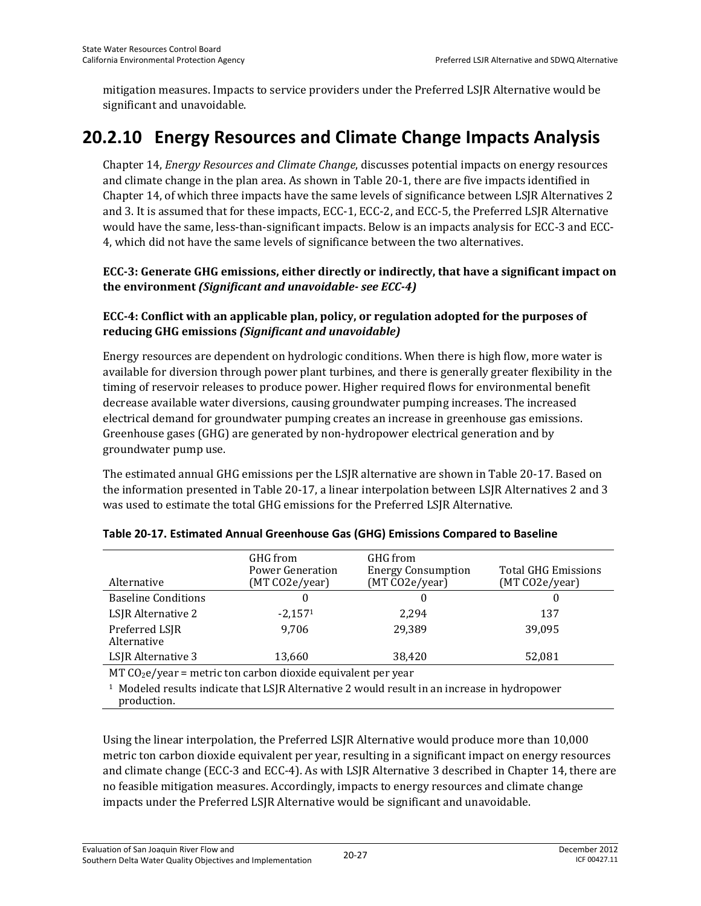mitigation measures. Impacts to service providers under the Preferred LSJR Alternative would be significant and unavoidable.

## **20.2.10 Energy Resources and Climate Change Impacts Analysis**

Chapter 14, *Energy Resources and Climate Change*, discusses potential impacts on energy resources and climate change in the plan area. As shown in Table 20-1, there are five impacts identified in Chapter 14, of which three impacts have the same levels of significance between LSJR Alternatives 2 and 3. It is assumed that for these impacts, ECC-1, ECC-2, and ECC-5, the Preferred LSJR Alternative would have the same, less-than-significant impacts. Below is an impacts analysis for ECC-3 and ECC-4, which did not have the same levels of significance between the two alternatives.

### **ECC-3: Generate GHG emissions, either directly or indirectly, that have a significant impact on the environment** *(Significant and unavoidable- see ECC-4)*

### **ECC-4: Conflict with an applicable plan, policy, or regulation adopted for the purposes of reducing GHG emissions** *(Significant and unavoidable)*

Energy resources are dependent on hydrologic conditions. When there is high flow, more water is available for diversion through power plant turbines, and there is generally greater flexibility in the timing of reservoir releases to produce power. Higher required flows for environmental benefit decrease available water diversions, causing groundwater pumping increases. The increased electrical demand for groundwater pumping creates an increase in greenhouse gas emissions. Greenhouse gases (GHG) are generated by non-hydropower electrical generation and by groundwater pump use.

The estimated annual GHG emissions per the LSJR alternative are shown in Table 20-17. Based on the information presented in Table 20-17, a linear interpolation between LSJR Alternatives 2 and 3 was used to estimate the total GHG emissions for the Preferred LSJR Alternative.

| Alternative                                                    | GHG from<br>Power Generation<br>(MT CO2e/year) | GHG from<br><b>Energy Consumption</b><br>(MT CO2e/year) | <b>Total GHG Emissions</b><br>(MT CO2e/year) |  |  |
|----------------------------------------------------------------|------------------------------------------------|---------------------------------------------------------|----------------------------------------------|--|--|
| <b>Baseline Conditions</b>                                     | 0                                              |                                                         | 0                                            |  |  |
| LSJR Alternative 2                                             | $-2,1571$                                      | 2.294                                                   | 137                                          |  |  |
| Preferred LSJR<br>Alternative                                  | 9.706                                          | 29,389                                                  | 39,095                                       |  |  |
| LSJR Alternative 3                                             | 13,660                                         | 38,420                                                  | 52,081                                       |  |  |
| $MT CO2e/year$ = metric ton carbon dioxide equivalent per year |                                                |                                                         |                                              |  |  |

#### **Table 20-17. Estimated Annual Greenhouse Gas (GHG) Emissions Compared to Baseline**

<sup>1</sup> Modeled results indicate that LSJR Alternative 2 would result in an increase in hydropower production.

Using the linear interpolation, the Preferred LSJR Alternative would produce more than 10,000 metric ton carbon dioxide equivalent per year, resulting in a significant impact on energy resources and climate change (ECC-3 and ECC-4). As with LSJR Alternative 3 described in Chapter 14, there are no feasible mitigation measures. Accordingly, impacts to energy resources and climate change impacts under the Preferred LSJR Alternative would be significant and unavoidable.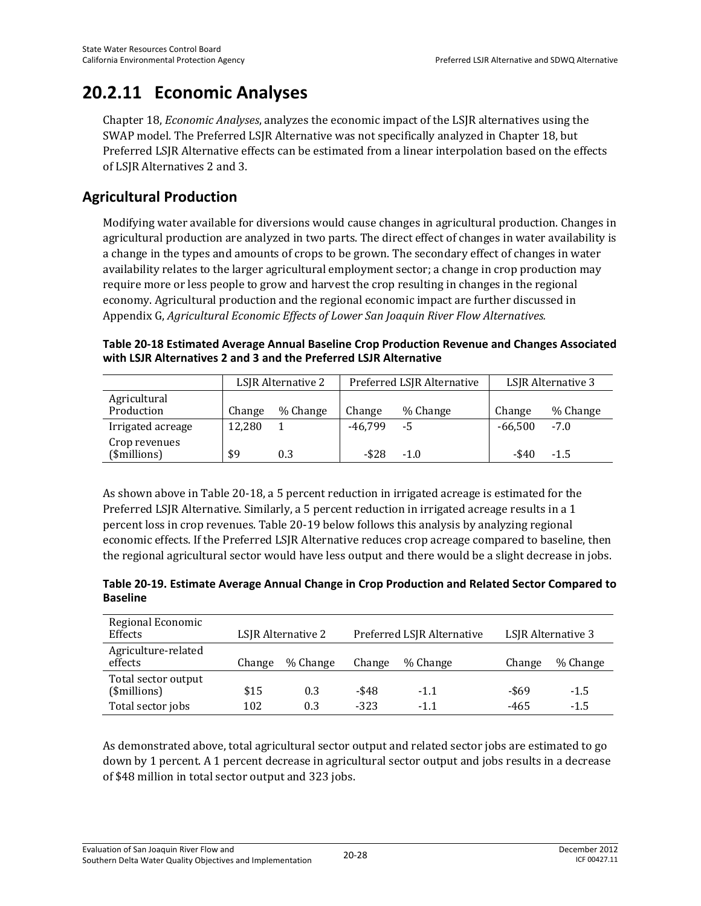## **20.2.11 Economic Analyses**

Chapter 18, *Economic Analyses*, analyzes the economic impact of the LSJR alternatives using the SWAP model. The Preferred LSJR Alternative was not specifically analyzed in Chapter 18, but Preferred LSJR Alternative effects can be estimated from a linear interpolation based on the effects of LSJR Alternatives 2 and 3.

### **Agricultural Production**

Modifying water available for diversions would cause changes in agricultural production. Changes in agricultural production are analyzed in two parts. The direct effect of changes in water availability is a change in the types and amounts of crops to be grown. The secondary effect of changes in water availability relates to the larger agricultural employment sector; a change in crop production may require more or less people to grow and harvest the crop resulting in changes in the regional economy. Agricultural production and the regional economic impact are further discussed in Appendix G, *Agricultural Economic Effects of Lower San Joaquin River Flow Alternatives.*

#### **Table 20-18 Estimated Average Annual Baseline Crop Production Revenue and Changes Associated with LSJR Alternatives 2 and 3 and the Preferred LSJR Alternative**

|                               | LSJR Alternative 2 |          | Preferred LSJR Alternative |          | LSJR Alternative 3 |          |
|-------------------------------|--------------------|----------|----------------------------|----------|--------------------|----------|
| Agricultural<br>Production    | Change             | % Change | Change                     | % Change | Change             | % Change |
| Irrigated acreage             | 12,280             |          | -46.799                    | -5       | $-66.500$          | $-7.0$   |
| Crop revenues<br>(\$millions) | \$9                | 0.3      | -\$28                      | $-1.0$   | -\$40              | $-1.5$   |

As shown above in Table 20-18, a 5 percent reduction in irrigated acreage is estimated for the Preferred LSJR Alternative. Similarly, a 5 percent reduction in irrigated acreage results in a 1 percent loss in crop revenues. Table 20-19 below follows this analysis by analyzing regional economic effects. If the Preferred LSJR Alternative reduces crop acreage compared to baseline, then the regional agricultural sector would have less output and there would be a slight decrease in jobs.

**Table 20-19. Estimate Average Annual Change in Crop Production and Related Sector Compared to Baseline** 

| Regional Economic<br><b>Effects</b> |        | LSJR Alternative 2 |        | Preferred LSJR Alternative |        | LSJR Alternative 3 |
|-------------------------------------|--------|--------------------|--------|----------------------------|--------|--------------------|
| Agriculture-related<br>effects      | Change | % Change           | Change | % Change                   | Change | % Change           |
| Total sector output<br>(\$millions) | \$15   | 0.3                | -\$48  | $-1.1$                     | -\$69  | $-1.5$             |
| Total sector jobs                   | 102    | 0.3                | $-323$ | $-11$                      | -465   | $-1.5$             |

As demonstrated above, total agricultural sector output and related sector jobs are estimated to go down by 1 percent. A 1 percent decrease in agricultural sector output and jobs results in a decrease of \$48 million in total sector output and 323 jobs.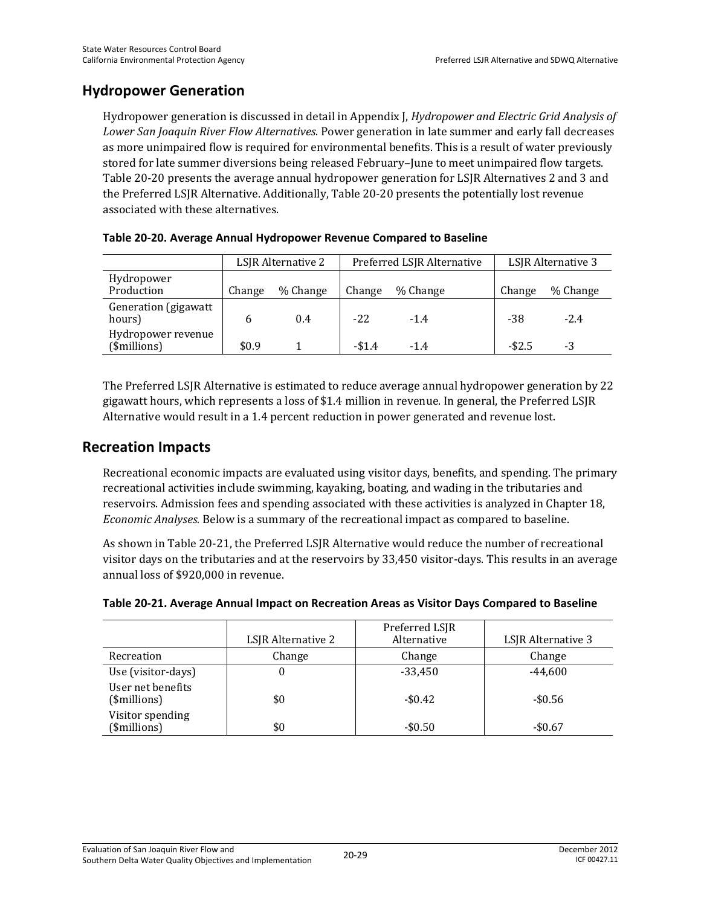### **Hydropower Generation**

Hydropower generation is discussed in detail in Appendix J, *Hydropower and Electric Grid Analysis of Lower San Joaquin River Flow Alternatives*. Power generation in late summer and early fall decreases as more unimpaired flow is required for environmental benefits. This is a result of water previously stored for late summer diversions being released February–June to meet unimpaired flow targets. Table 20-20 presents the average annual hydropower generation for LSJR Alternatives 2 and 3 and the Preferred LSJR Alternative. Additionally, Table 20-20 presents the potentially lost revenue associated with these alternatives.

|                                    | LSJR Alternative 2 |          | Preferred LSJR Alternative |          | LSJR Alternative 3 |          |
|------------------------------------|--------------------|----------|----------------------------|----------|--------------------|----------|
| Hydropower<br>Production           | Change             | % Change | Change                     | % Change | Change             | % Change |
| Generation (gigawatt<br>hours)     |                    | 0.4      | $-22.$                     | $-1.4$   | -38                | $-2.4$   |
| Hydropower revenue<br>(\$millions) | \$0.9              |          | $-$1.4$                    | $-1.4$   | $-$ \$2.5          | -3       |

|  |  | Table 20-20. Average Annual Hydropower Revenue Compared to Baseline |
|--|--|---------------------------------------------------------------------|
|--|--|---------------------------------------------------------------------|

The Preferred LSJR Alternative is estimated to reduce average annual hydropower generation by 22 gigawatt hours, which represents a loss of \$1.4 million in revenue. In general, the Preferred LSJR Alternative would result in a 1.4 percent reduction in power generated and revenue lost.

### **Recreation Impacts**

Recreational economic impacts are evaluated using visitor days, benefits, and spending. The primary recreational activities include swimming, kayaking, boating, and wading in the tributaries and reservoirs. Admission fees and spending associated with these activities is analyzed in Chapter 18, *Economic Analyses.* Below is a summary of the recreational impact as compared to baseline.

As shown in Table 20-21, the Preferred LSJR Alternative would reduce the number of recreational visitor days on the tributaries and at the reservoirs by 33,450 visitor-days. This results in an average annual loss of \$920,000 in revenue.

|                                   | LSJR Alternative 2 | Preferred LSJR<br>Alternative | LSJR Alternative 3 |
|-----------------------------------|--------------------|-------------------------------|--------------------|
| Recreation                        | Change             | Change                        | Change             |
| Use (visitor-days)                | U                  | $-33.450$                     | $-44.600$          |
| User net benefits<br>(\$millions) | \$0                | $-$0.42$                      | $-$0.56$           |
| Visitor spending<br>(\$millions)  | \$0                | $-$0.50$                      | $-$0.67$           |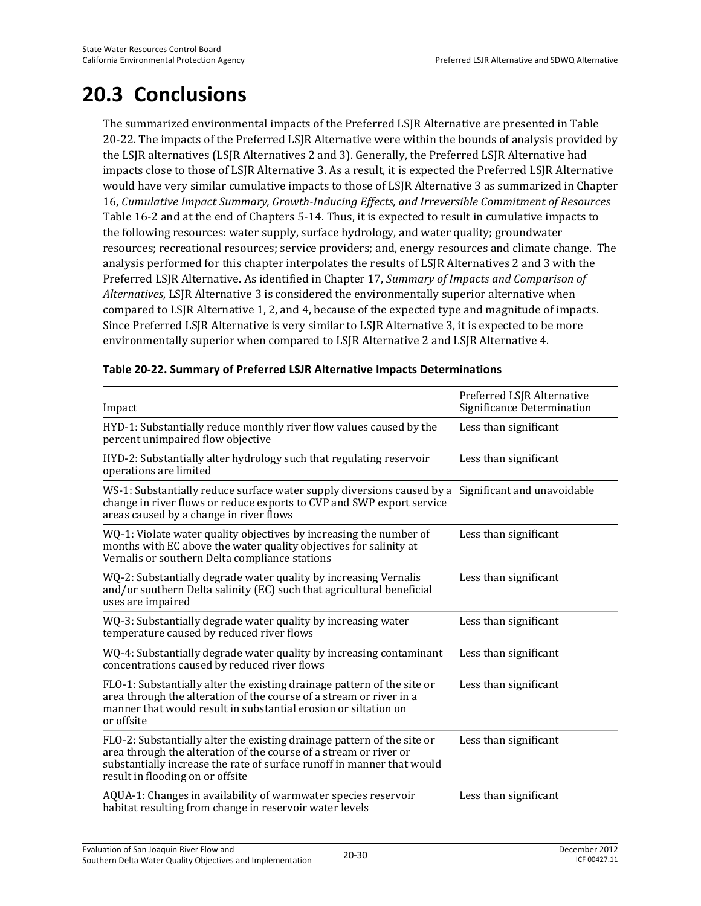# **20.3 Conclusions**

The summarized environmental impacts of the Preferred LSJR Alternative are presented in Table 20-22. The impacts of the Preferred LSJR Alternative were within the bounds of analysis provided by the LSJR alternatives (LSJR Alternatives 2 and 3). Generally, the Preferred LSJR Alternative had impacts close to those of LSJR Alternative 3. As a result, it is expected the Preferred LSJR Alternative would have very similar cumulative impacts to those of LSJR Alternative 3 as summarized in Chapter 16, *Cumulative Impact Summary, Growth-Inducing Effects, and Irreversible Commitment of Resources* Table 16-2 and at the end of Chapters 5-14. Thus, it is expected to result in cumulative impacts to the following resources: water supply, surface hydrology, and water quality; groundwater resources; recreational resources; service providers; and, energy resources and climate change. The analysis performed for this chapter interpolates the results of LSJR Alternatives 2 and 3 with the Preferred LSJR Alternative. As identified in Chapter 17, *Summary of Impacts and Comparison of Alternatives*, LSJR Alternative 3 is considered the environmentally superior alternative when compared to LSJR Alternative 1, 2, and 4, because of the expected type and magnitude of impacts. Since Preferred LSJR Alternative is very similar to LSJR Alternative 3, it is expected to be more environmentally superior when compared to LSJR Alternative 2 and LSJR Alternative 4.

| Impact                                                                                                                                                                                                                                                     | Preferred LSJR Alternative<br>Significance Determination |
|------------------------------------------------------------------------------------------------------------------------------------------------------------------------------------------------------------------------------------------------------------|----------------------------------------------------------|
| HYD-1: Substantially reduce monthly river flow values caused by the<br>percent unimpaired flow objective                                                                                                                                                   | Less than significant                                    |
| HYD-2: Substantially alter hydrology such that regulating reservoir<br>operations are limited                                                                                                                                                              | Less than significant                                    |
| WS-1: Substantially reduce surface water supply diversions caused by a<br>change in river flows or reduce exports to CVP and SWP export service<br>areas caused by a change in river flows                                                                 | Significant and unavoidable                              |
| WQ-1: Violate water quality objectives by increasing the number of<br>months with EC above the water quality objectives for salinity at<br>Vernalis or southern Delta compliance stations                                                                  | Less than significant                                    |
| WQ-2: Substantially degrade water quality by increasing Vernalis<br>and/or southern Delta salinity (EC) such that agricultural beneficial<br>uses are impaired                                                                                             | Less than significant                                    |
| WQ-3: Substantially degrade water quality by increasing water<br>temperature caused by reduced river flows                                                                                                                                                 | Less than significant                                    |
| WQ-4: Substantially degrade water quality by increasing contaminant<br>concentrations caused by reduced river flows                                                                                                                                        | Less than significant                                    |
| FLO-1: Substantially alter the existing drainage pattern of the site or<br>area through the alteration of the course of a stream or river in a<br>manner that would result in substantial erosion or siltation on<br>or offsite                            | Less than significant                                    |
| FLO-2: Substantially alter the existing drainage pattern of the site or<br>area through the alteration of the course of a stream or river or<br>substantially increase the rate of surface runoff in manner that would<br>result in flooding on or offsite | Less than significant                                    |
| AQUA-1: Changes in availability of warmwater species reservoir<br>habitat resulting from change in reservoir water levels                                                                                                                                  | Less than significant                                    |

#### **Table 20-22. Summary of Preferred LSJR Alternative Impacts Determinations**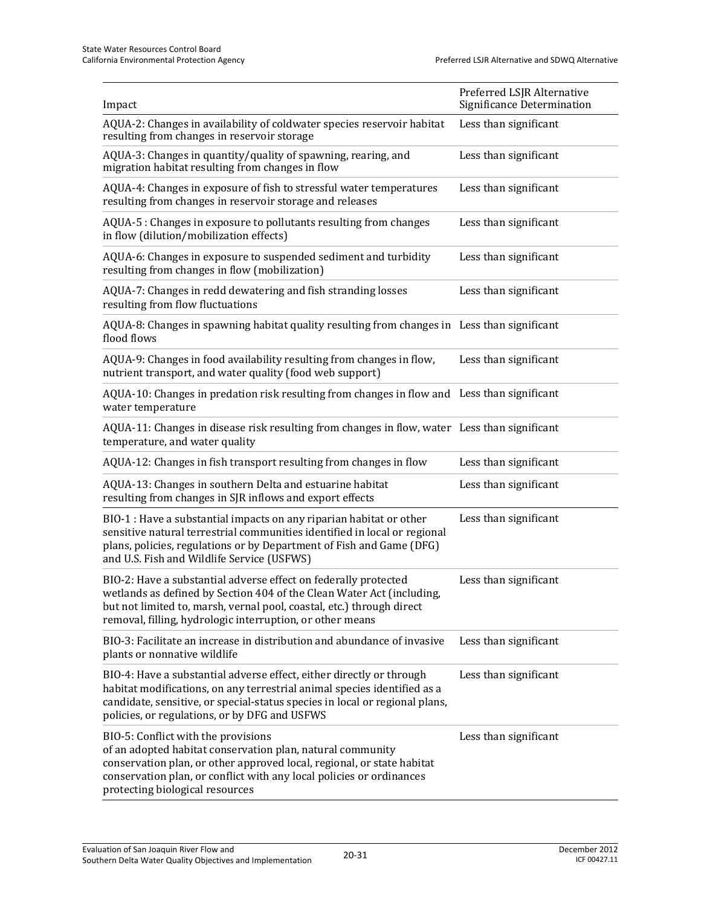| Impact                                                                                                                                                                                                                                                                                 | Preferred LSJR Alternative<br>Significance Determination |
|----------------------------------------------------------------------------------------------------------------------------------------------------------------------------------------------------------------------------------------------------------------------------------------|----------------------------------------------------------|
| AQUA-2: Changes in availability of coldwater species reservoir habitat<br>resulting from changes in reservoir storage                                                                                                                                                                  | Less than significant                                    |
| AQUA-3: Changes in quantity/quality of spawning, rearing, and<br>migration habitat resulting from changes in flow                                                                                                                                                                      | Less than significant                                    |
| AQUA-4: Changes in exposure of fish to stressful water temperatures<br>resulting from changes in reservoir storage and releases                                                                                                                                                        | Less than significant                                    |
| AQUA-5 : Changes in exposure to pollutants resulting from changes<br>in flow (dilution/mobilization effects)                                                                                                                                                                           | Less than significant                                    |
| AQUA-6: Changes in exposure to suspended sediment and turbidity<br>resulting from changes in flow (mobilization)                                                                                                                                                                       | Less than significant                                    |
| AQUA-7: Changes in redd dewatering and fish stranding losses<br>resulting from flow fluctuations                                                                                                                                                                                       | Less than significant                                    |
| AQUA-8: Changes in spawning habitat quality resulting from changes in Less than significant<br>flood flows                                                                                                                                                                             |                                                          |
| AQUA-9: Changes in food availability resulting from changes in flow,<br>nutrient transport, and water quality (food web support)                                                                                                                                                       | Less than significant                                    |
| AQUA-10: Changes in predation risk resulting from changes in flow and Less than significant<br>water temperature                                                                                                                                                                       |                                                          |
| AQUA-11: Changes in disease risk resulting from changes in flow, water Less than significant<br>temperature, and water quality                                                                                                                                                         |                                                          |
| AQUA-12: Changes in fish transport resulting from changes in flow                                                                                                                                                                                                                      | Less than significant                                    |
| AQUA-13: Changes in southern Delta and estuarine habitat<br>resulting from changes in SJR inflows and export effects                                                                                                                                                                   | Less than significant                                    |
| BIO-1 : Have a substantial impacts on any riparian habitat or other<br>sensitive natural terrestrial communities identified in local or regional<br>plans, policies, regulations or by Department of Fish and Game (DFG)<br>and U.S. Fish and Wildlife Service (USFWS)                 | Less than significant                                    |
| BIO-2: Have a substantial adverse effect on federally protected<br>wetlands as defined by Section 404 of the Clean Water Act (including,<br>but not limited to, marsh, vernal pool, coastal, etc.) through direct<br>removal, filling, hydrologic interruption, or other means         | Less than significant                                    |
| BIO-3: Facilitate an increase in distribution and abundance of invasive<br>plants or nonnative wildlife                                                                                                                                                                                | Less than significant                                    |
| BIO-4: Have a substantial adverse effect, either directly or through<br>habitat modifications, on any terrestrial animal species identified as a<br>candidate, sensitive, or special-status species in local or regional plans,<br>policies, or regulations, or by DFG and USFWS       | Less than significant                                    |
| BIO-5: Conflict with the provisions<br>of an adopted habitat conservation plan, natural community<br>conservation plan, or other approved local, regional, or state habitat<br>conservation plan, or conflict with any local policies or ordinances<br>protecting biological resources | Less than significant                                    |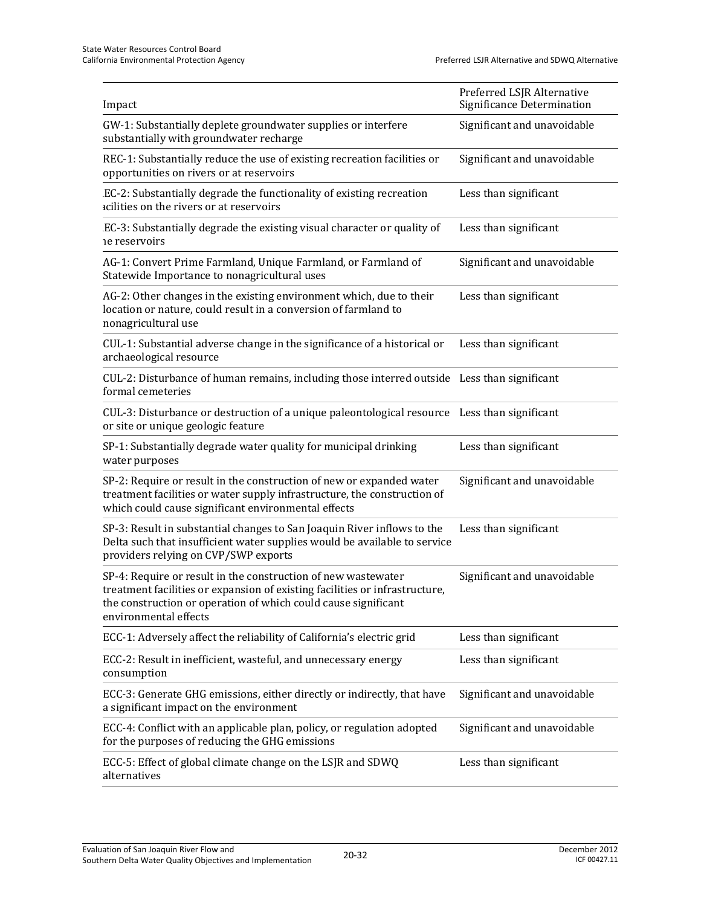| Impact                                                                                                                                                                                                                                  | Preferred LSJR Alternative<br>Significance Determination |
|-----------------------------------------------------------------------------------------------------------------------------------------------------------------------------------------------------------------------------------------|----------------------------------------------------------|
| GW-1: Substantially deplete groundwater supplies or interfere<br>substantially with groundwater recharge                                                                                                                                | Significant and unavoidable                              |
| REC-1: Substantially reduce the use of existing recreation facilities or<br>opportunities on rivers or at reservoirs                                                                                                                    | Significant and unavoidable                              |
| EC-2: Substantially degrade the functionality of existing recreation<br>acilities on the rivers or at reservoirs                                                                                                                        | Less than significant                                    |
| EC-3: Substantially degrade the existing visual character or quality of<br>ne reservoirs                                                                                                                                                | Less than significant                                    |
| AG-1: Convert Prime Farmland, Unique Farmland, or Farmland of<br>Statewide Importance to nonagricultural uses                                                                                                                           | Significant and unavoidable                              |
| AG-2: Other changes in the existing environment which, due to their<br>location or nature, could result in a conversion of farmland to<br>nonagricultural use                                                                           | Less than significant                                    |
| CUL-1: Substantial adverse change in the significance of a historical or<br>archaeological resource                                                                                                                                     | Less than significant                                    |
| CUL-2: Disturbance of human remains, including those interred outside Less than significant<br>formal cemeteries                                                                                                                        |                                                          |
| CUL-3: Disturbance or destruction of a unique paleontological resource Less than significant<br>or site or unique geologic feature                                                                                                      |                                                          |
| SP-1: Substantially degrade water quality for municipal drinking<br>water purposes                                                                                                                                                      | Less than significant                                    |
| SP-2: Require or result in the construction of new or expanded water<br>treatment facilities or water supply infrastructure, the construction of<br>which could cause significant environmental effects                                 | Significant and unavoidable                              |
| SP-3: Result in substantial changes to San Joaquin River inflows to the<br>Delta such that insufficient water supplies would be available to service<br>providers relying on CVP/SWP exports                                            | Less than significant                                    |
| SP-4: Require or result in the construction of new wastewater<br>treatment facilities or expansion of existing facilities or infrastructure,<br>the construction or operation of which could cause significant<br>environmental effects | Significant and unavoidable                              |
| ECC-1: Adversely affect the reliability of California's electric grid                                                                                                                                                                   | Less than significant                                    |
| ECC-2: Result in inefficient, wasteful, and unnecessary energy<br>consumption                                                                                                                                                           | Less than significant                                    |
| ECC-3: Generate GHG emissions, either directly or indirectly, that have<br>a significant impact on the environment                                                                                                                      | Significant and unavoidable                              |
| ECC-4: Conflict with an applicable plan, policy, or regulation adopted<br>for the purposes of reducing the GHG emissions                                                                                                                | Significant and unavoidable                              |
| ECC-5: Effect of global climate change on the LSJR and SDWQ<br>alternatives                                                                                                                                                             | Less than significant                                    |